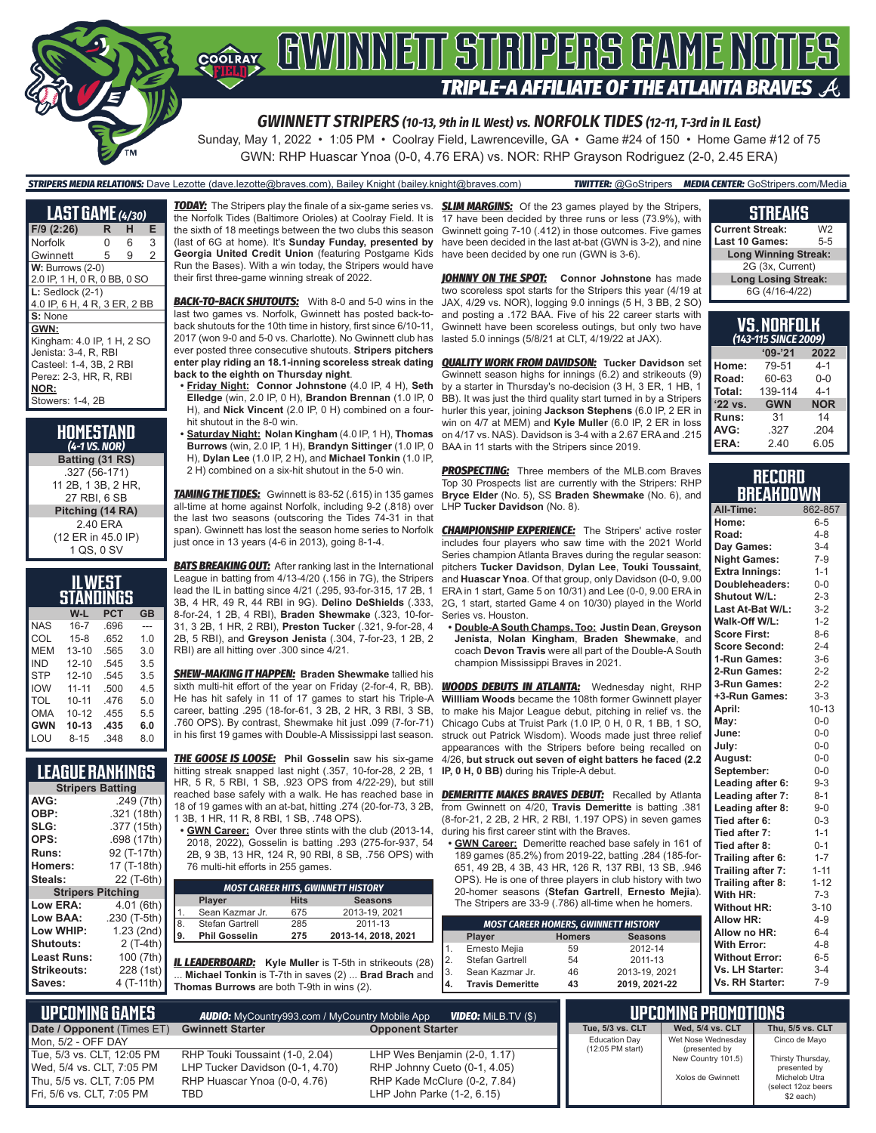

GWN: RHP Huascar Ynoa (0-0, 4.76 ERA) vs. NOR: RHP Grayson Rodriguez (2-0, 2.45 ERA)

#### *STRIPERS MEDIA RELATIONS:* Dave Lezotte (dave.lezotte@braves.com), Bailey Knight (bailey.knight@braves.com) *TWITTER:* @GoStripers *MEDIA CENTER:* GoStripers.com/Media

| <b>LAST GAME</b> (4/30)      |   |   |   |  |  |
|------------------------------|---|---|---|--|--|
| F/9 (2:26)                   | R | н | Е |  |  |
| Norfolk                      | 0 | 6 | 3 |  |  |
| Gwinnett                     | 5 | 9 | 2 |  |  |
| $W:$ Burrows $(2-0)$         |   |   |   |  |  |
| 2.0 IP, 1 H, 0 R, 0 BB, 0 SO |   |   |   |  |  |
| $L:$ Sedlock $(2-1)$         |   |   |   |  |  |
| 4.0 IP, 6 H, 4 R, 3 ER, 2 BB |   |   |   |  |  |
| S: None                      |   |   |   |  |  |
| GWN:                         |   |   |   |  |  |
| Kingham: 4.0 IP, 1 H, 2 SO   |   |   |   |  |  |
| Jenista: 3-4. R. RBI         |   |   |   |  |  |
| Casteel: 1-4, 3B, 2 RBI      |   |   |   |  |  |
| Perez: 2-3. HR. R. RBI       |   |   |   |  |  |
| NOR:                         |   |   |   |  |  |
| Stowers: 1-4, 2B             |   |   |   |  |  |

**HOMESTAND** *(4-1 VS. NOR)* **Batting (31 RS)** .327 (56-171) 11 2B, 1 3B, 2 HR, 27 RBI, 6 SB **Pitching (14 RA)** 2.40 ERA (12 ER in 45.0 IP) 1 QS, 0 SV

| IL WEST<br>STANDINGS |           |            |           |  |  |  |  |
|----------------------|-----------|------------|-----------|--|--|--|--|
|                      | W-L       | <b>PCT</b> | <b>GB</b> |  |  |  |  |
| <b>NAS</b>           | $16 - 7$  | .696       |           |  |  |  |  |
| COL                  | $15-8$    | .652       | 1.0       |  |  |  |  |
| MFM                  | $13 - 10$ | .565       | 3.0       |  |  |  |  |
| IND                  | $12 - 10$ | .545       | 3.5       |  |  |  |  |
| <b>STP</b>           | $12 - 10$ | .545       | 3.5       |  |  |  |  |
| <b>IOW</b>           | $11 - 11$ | .500       | 45        |  |  |  |  |
| TOL                  | $10 - 11$ | 476        | 5.0       |  |  |  |  |
| <b>OMA</b>           | $10 - 12$ | .455       | 5.5       |  |  |  |  |
| <b>GWN</b>           | $10 - 13$ | .435       | 6.0       |  |  |  |  |
| I OU                 | 8-15      | .348       | 8.0       |  |  |  |  |

## **LEAGUE RANKINGS**

| <b>Stripers Batting</b>  |              |  |  |  |  |
|--------------------------|--------------|--|--|--|--|
| AVG:                     | .249 (7th)   |  |  |  |  |
| OBP:                     | .321 (18th)  |  |  |  |  |
| SLG:                     | .377 (15th)  |  |  |  |  |
| OPS:                     | .698 (17th)  |  |  |  |  |
| <b>Runs:</b>             | 92 (T-17th)  |  |  |  |  |
| Homers:                  | 17 (T-18th)  |  |  |  |  |
| Steals:                  | 22 (T-6th)   |  |  |  |  |
| <b>Stripers Pitching</b> |              |  |  |  |  |
| <b>Low ERA:</b>          | 4.01 (6th)   |  |  |  |  |
| Low BAA:                 | .230 (T-5th) |  |  |  |  |
| Low WHIP:                | 1.23 (2nd)   |  |  |  |  |
| Shutouts:                | 2 (T-4th)    |  |  |  |  |
| <b>Least Runs:</b>       | 100 (7th)    |  |  |  |  |
| Strikeouts:              | 228 (1st)    |  |  |  |  |
| Saves:                   | 4 (T-11th)   |  |  |  |  |

**TODAY:** The Stripers play the finale of a six-game series vs. the Norfolk Tides (Baltimore Orioles) at Coolray Field. It is the sixth of 18 meetings between the two clubs this season (last of 6G at home). It's **Sunday Funday, presented by Georgia United Credit Union** (featuring Postgame Kids Run the Bases). With a win today, the Stripers would have their first three-game winning streak of 2022.

*BACK-TO-BACK SHUTOUTS:* With 8-0 and 5-0 wins in the last two games vs. Norfolk, Gwinnett has posted back-toback shutouts for the 10th time in history, first since 6/10-11, 2017 (won 9-0 and 5-0 vs. Charlotte). No Gwinnett club has ever posted three consecutive shutouts. **Stripers pitchers enter play riding an 18.1-inning scoreless streak dating back to the eighth on Thursday night**.

**• Friday Night: Connor Johnstone** (4.0 IP, 4 H), **Seth Elledge** (win, 2.0 IP, 0 H), **Brandon Brennan** (1.0 IP, 0 H), and **Nick Vincent** (2.0 IP, 0 H) combined on a fourhit shutout in the 8-0 win.

**• Saturday Night: Nolan Kingham** (4.0 IP, 1 H), **Thomas Burrows** (win, 2.0 IP, 1 H), **Brandyn Sittinger** (1.0 IP, 0 H), **Dylan Lee** (1.0 IP, 2 H), and **Michael Tonkin** (1.0 IP, 2 H) combined on a six-hit shutout in the 5-0 win.

*TAMING THE TIDES:* Gwinnett is 83-52 (.615) in 135 games all-time at home against Norfolk, including 9-2 (.818) over the last two seasons (outscoring the Tides 74-31 in that span). Gwinnett has lost the season home series to Norfolk just once in 13 years (4-6 in 2013), going 8-1-4.

**BATS BREAKING OUT:** After ranking last in the International League in batting from 4/13-4/20 (.156 in 7G), the Stripers lead the IL in batting since 4/21 (.295, 93-for-315, 17 2B, 1 3B, 4 HR, 49 R, 44 RBI in 9G). **Delino DeShields** (.333, 8-for-24, 1 2B, 4 RBI), **Braden Shewmake** (.323, 10-for-31, 3 2B, 1 HR, 2 RBI), **Preston Tucker** (.321, 9-for-28, 4 2B, 5 RBI), and **Greyson Jenista** (.304, 7-for-23, 1 2B, 2 RBI) are all hitting over .300 since 4/21.

*SHEW-MAKING IT HAPPEN:* **Braden Shewmake** tallied his sixth multi-hit effort of the year on Friday (2-for-4, R, BB). He has hit safely in 11 of 17 games to start his Triple-A career, batting .295 (18-for-61, 3 2B, 2 HR, 3 RBI, 3 SB, .760 OPS). By contrast, Shewmake hit just .099 (7-for-71) in his first 19 games with Double-A Mississippi last season.

*THE GOOSE IS LOOSE:* **Phil Gosselin** saw his six-game hitting streak snapped last night (.357, 10-for-28, 2 2B, 1 HR, 5 R, 5 RBI, 1 SB, .923 OPS from 4/22-29), but still reached base safely with a walk. He has reached base in 18 of 19 games with an at-bat, hitting .274 (20-for-73, 3 2B, 1 3B, 1 HR, 11 R, 8 RBI, 1 SB, .748 OPS).

**• GWN Career:** Over three stints with the club (2013-14, 2018, 2022), Gosselin is batting .293 (275-for-937, 54 2B, 9 3B, 13 HR, 124 R, 90 RBI, 8 SB, .756 OPS) with 76 multi-hit efforts in 255 games.

|    | <b>MOST CAREER HITS, GWINNETT HISTORY</b> |             |                     |  |  |  |
|----|-------------------------------------------|-------------|---------------------|--|--|--|
|    | <b>Player</b>                             | <b>Hits</b> | <b>Seasons</b>      |  |  |  |
| 1. | Sean Kazmar Jr.                           | 675         | 2013-19, 2021       |  |  |  |
| 8. | Stefan Gartrell                           | 285         | 2011-13             |  |  |  |
| 9. | <b>Phil Gosselin</b>                      | 275         | 2013-14, 2018, 2021 |  |  |  |
|    |                                           |             |                     |  |  |  |

*IL LEADERBOARD:* **Kyle Muller** is T-5th in strikeouts (28) ... **Michael Tonkin** is T-7th in saves (2) ... **Brad Brach** and **Thomas Burrows** are both T-9th in wins (2).

**SLIM MARGINS:** Of the 23 games played by the Stripers, 17 have been decided by three runs or less (73.9%), with Gwinnett going 7-10 (.412) in those outcomes. Five games have been decided in the last at-bat (GWN is 3-2), and nine have been decided by one run (GWN is 3-6).

**JOHNNY ON THE SPOT:** Connor Johnstone has made two scoreless spot starts for the Stripers this year (4/19 at JAX, 4/29 vs. NOR), logging 9.0 innings (5 H, 3 BB, 2 SO) and posting a .172 BAA. Five of his 22 career starts with Gwinnett have been scoreless outings, but only two have lasted 5.0 innings (5/8/21 at CLT, 4/19/22 at JAX).

*QUALITY WORK FROM DAVIDSON:* **Tucker Davidson** set Gwinnett season highs for innings (6.2) and strikeouts (9) by a starter in Thursday's no-decision (3 H, 3 ER, 1 HB, 1 BB). It was just the third quality start turned in by a Stripers hurler this year, joining **Jackson Stephens** (6.0 IP, 2 ER in win on 4/7 at MEM) and **Kyle Muller** (6.0 IP, 2 ER in loss on 4/17 vs. NAS). Davidson is 3-4 with a 2.67 ERA and .215 BAA in 11 starts with the Stripers since 2019.

**PROSPECTING:** Three members of the MLB.com Braves Top 30 Prospects list are currently with the Stripers: RHP **Bryce Elder** (No. 5), SS **Braden Shewmake** (No. 6), and LHP **Tucker Davidson** (No. 8).

**CHAMPIONSHIP EXPERIENCE:** The Stripers' active roster includes four players who saw time with the 2021 World Series champion Atlanta Braves during the regular season: pitchers **Tucker Davidson**, **Dylan Lee**, **Touki Toussaint**, and **Huascar Ynoa**. Of that group, only Davidson (0-0, 9.00 ERA in 1 start, Game 5 on 10/31) and Lee (0-0, 9.00 ERA in 2G, 1 start, started Game 4 on 10/30) played in the World Series vs. Houston.

**• Double-A South Champs, Too: Justin Dean**, **Greyson Jenista**, **Nolan Kingham**, **Braden Shewmake**, and coach **Devon Travis** were all part of the Double-A South champion Mississippi Braves in 2021.

*WOODS DEBUTS IN ATLANTA:* Wednesday night, RHP **Willliam Woods** became the 108th former Gwinnett player to make his Major League debut, pitching in relief vs. the Chicago Cubs at Truist Park (1.0 IP, 0 H, 0 R, 1 BB, 1 SO, struck out Patrick Wisdom). Woods made just three relief appearances with the Stripers before being recalled on 4/26, **but struck out seven of eight batters he faced (2.2 IP, 0 H, 0 BB)** during his Triple-A debut.

**DEMERITTE MAKES BRAVES DEBUT:** Recalled by Atlanta from Gwinnett on 4/20, **Travis Demeritte** is batting .381 (8-for-21, 2 2B, 2 HR, 2 RBI, 1.197 OPS) in seven games during his first career stint with the Braves.

**• GWN Career:** Demeritte reached base safely in 161 of 189 games (85.2%) from 2019-22, batting .284 (185-for-651, 49 2B, 4 3B, 43 HR, 126 R, 137 RBI, 13 SB, .946 OPS). He is one of three players in club history with two 20-homer seasons (**Stefan Gartrell**, **Ernesto Mejia**). The Stripers are 33-9 (.786) all-time when he homers.

| <b>MOST CAREER HOMERS, GWINNETT HISTORY</b> |                         |               |                |  |  |  |  |
|---------------------------------------------|-------------------------|---------------|----------------|--|--|--|--|
|                                             | Player                  | <b>Homers</b> | <b>Seasons</b> |  |  |  |  |
| 1.                                          | Ernesto Mejia           | 59            | 2012-14        |  |  |  |  |
| 2.                                          | Stefan Gartrell         | 54            | 2011-13        |  |  |  |  |
| 3.                                          | Sean Kazmar Jr.         | 46            | 2013-19, 2021  |  |  |  |  |
| 4.                                          | <b>Travis Demeritte</b> | 43            | 2019, 2021-22  |  |  |  |  |
|                                             |                         |               |                |  |  |  |  |

## **STREAKS**

| <b>Current Streak:</b>      | W2      |  |  |
|-----------------------------|---------|--|--|
| <b>Last 10 Games:</b>       | $5 - 5$ |  |  |
| <b>Long Winning Streak:</b> |         |  |  |
| 2G (3x, Current)            |         |  |  |
| <b>Long Losing Streak:</b>  |         |  |  |
| 6G (4/16-4/22)              |         |  |  |

| və. Nunfuln<br>(143-115 SINCE 2009) |            |            |  |  |  |  |  |
|-------------------------------------|------------|------------|--|--|--|--|--|
|                                     | $'09-'21$  | 2022       |  |  |  |  |  |
| Home:                               | 79-51      | $4 - 1$    |  |  |  |  |  |
| Road:                               | 60-63      | $0 - 0$    |  |  |  |  |  |
| Total:                              | 139-114    | $4 - 1$    |  |  |  |  |  |
| '22 vs.                             | <b>GWN</b> | <b>NOR</b> |  |  |  |  |  |
| Runs:                               | 31         | 14         |  |  |  |  |  |
| AVG:                                | .327       | .204       |  |  |  |  |  |
| ERA:                                | 2.40       | 6.05       |  |  |  |  |  |

**VS. NORFOLK** 

## **RECORD BREAKDOWN**

| All-Time:             | 862-857   |
|-----------------------|-----------|
| Home:                 | $6 - 5$   |
| Road:                 | $4 - 8$   |
| Day Games:            | $3 - 4$   |
| <b>Night Games:</b>   | $7 - 9$   |
| <b>Extra Innings:</b> | $1 - 1$   |
| Doubleheaders:        | $0-0$     |
| Shutout W/L:          | $2 - 3$   |
| Last At-Bat W/L:      | $3-2$     |
| Walk-Off W/L:         | $1 - 2$   |
| <b>Score First:</b>   | $8 - 6$   |
| <b>Score Second:</b>  | $2 - 4$   |
| 1-Run Games:          | $3-6$     |
| 2-Run Games:          | $2 - 2$   |
| 3-Run Games:          | $2 - 2$   |
| +3-Run Games:         | $3 - 3$   |
| April:                | $10 - 13$ |
| May:                  | $0 - 0$   |
| June:                 | $0-0$     |
| July:                 | $0-0$     |
| August:               | $0-0$     |
| September:            | $0 - 0$   |
| Leading after 6:      | $9 - 3$   |
| Leading after 7:      | $8 - 1$   |
| Leading after 8:      | $9 - 0$   |
| Tied after 6:         | $0 - 3$   |
| Tied after 7:         | $1 - 1$   |
| Tied after 8:         | $0 - 1$   |
| Trailing after 6:     | $1 - 7$   |
| Trailing after 7:     | $1 - 11$  |
| Trailing after 8:     | $1 - 12$  |
| With HR:              | $7-3$     |
| <b>Without HR:</b>    | $3 - 10$  |
| <b>Allow HR:</b>      | $4 - 9$   |
| Allow no HR:          | $6 - 4$   |
| <b>With Error:</b>    | $4 - 8$   |
| <b>Without Error:</b> | $6 - 5$   |
| Vs. LH Starter:       | $3 - 4$   |
| Vs. RH Starter:       | $7-9$     |

| <b>UPCOMING GAMES</b>                                   | <b>AUDIO:</b> MyCountry993.com / MyCountry Mobile App              | <b>VIDEO:</b> MILB.TV (\$)                                   |                      | <b>UPCOMING PROMOTIONS</b>          |
|---------------------------------------------------------|--------------------------------------------------------------------|--------------------------------------------------------------|----------------------|-------------------------------------|
| Date / Opponent (Times ET)                              | <b>Gwinnett Starter</b>                                            | <b>Opponent Starter</b>                                      | Tue, 5/3 vs. CLT     | Wed. 5/4 vs. CLT                    |
| Mon. 5/2 - OFF DAY                                      |                                                                    |                                                              | <b>Education Day</b> | Wet Nose Wednesday                  |
| Tue. 5/3 vs. CLT. 12:05 PM<br>Wed, 5/4 vs. CLT, 7:05 PM | RHP Touki Toussaint (1-0, 2.04)<br>LHP Tucker Davidson (0-1, 4.70) | LHP Wes Benjamin (2-0, 1.17)<br>RHP Johnny Cueto (0-1, 4.05) | $(12:05$ PM start)   | (presented by<br>New Country 101.5) |
| Thu, 5/5 vs. CLT, 7:05 PM<br>Fri. 5/6 vs. CLT. 7:05 PM  | RHP Huascar Ynoa (0-0, 4.76)<br>TBD                                | RHP Kade McClure (0-2, 7.84)<br>LHP John Parke (1-2, 6.15)   |                      | Xolos de Gwinnett                   |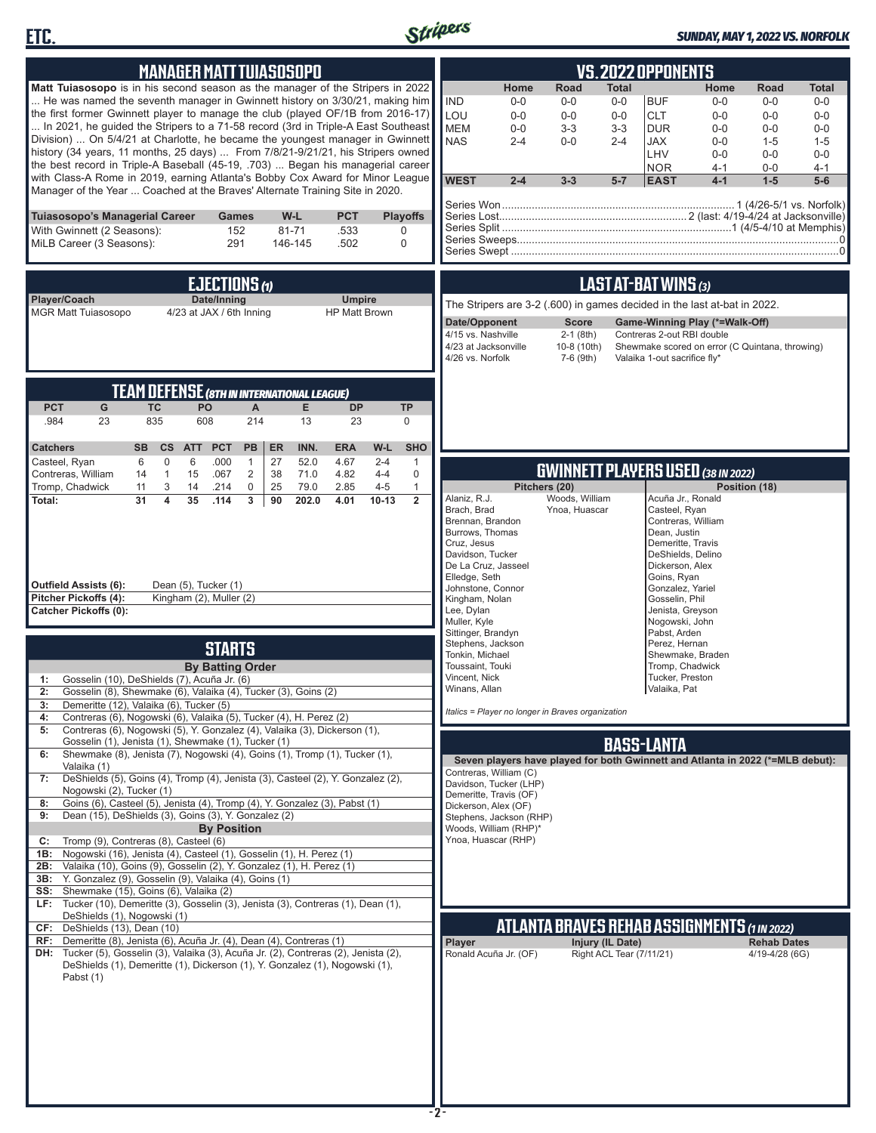



## *SUNDAY, MAY 1, 2022 VS. NORFOLK*

| <b>MANAGER MATT TUIASOSOPO</b>                                                                                                                                                                                                                                                                                                                                                                                                                                                                                                                                                                                                                                                                                                                                                                                               | <b>VS.2022 OPPONENTS</b>                                                                                                                                                                                                                                                                                                                                                                                                                                                                                                                                                  |
|------------------------------------------------------------------------------------------------------------------------------------------------------------------------------------------------------------------------------------------------------------------------------------------------------------------------------------------------------------------------------------------------------------------------------------------------------------------------------------------------------------------------------------------------------------------------------------------------------------------------------------------------------------------------------------------------------------------------------------------------------------------------------------------------------------------------------|---------------------------------------------------------------------------------------------------------------------------------------------------------------------------------------------------------------------------------------------------------------------------------------------------------------------------------------------------------------------------------------------------------------------------------------------------------------------------------------------------------------------------------------------------------------------------|
| <b>Matt Tuiasosopo</b> is in his second season as the manager of the Stripers in 2022<br>He was named the seventh manager in Gwinnett history on 3/30/21, making him<br>the first former Gwinnett player to manage the club (played OF/1B from 2016-17)<br>In 2021, he guided the Stripers to a 71-58 record (3rd in Triple-A East Southeast<br>Division)  On 5/4/21 at Charlotte, he became the youngest manager in Gwinnett<br>history (34 years, 11 months, 25 days)  From 7/8/21-9/21/21, his Stripers owned<br>the best record in Triple-A Baseball (45-19, .703)  Began his managerial career<br>with Class-A Rome in 2019, earning Atlanta's Bobby Cox Award for Minor League<br>Manager of the Year  Coached at the Braves' Alternate Training Site in 2020.                                                         | Home<br>Road<br>Total<br>Road<br>Home<br>Total<br><b>IND</b><br><b>BUF</b><br>$0-0$<br>$0-0$<br>$0 - 0$<br>$0-0$<br>$0-0$<br>$0-0$<br>LOU<br>$0-0$<br>$0-0$<br>$0 - 0$<br><b>CLT</b><br>$0 - 0$<br>$0 - 0$<br>$0-0$<br><b>MEM</b><br>$3 - 3$<br><b>DUR</b><br>$0 - 0$<br>$0-0$<br>$3-3$<br>$0-0$<br>$0-0$<br><b>NAS</b><br>$0-0$<br>$2 - 4$<br>$2 - 4$<br>JAX<br>$0 - 0$<br>$1 - 5$<br>$1 - 5$<br>LHV<br>$0 - 0$<br>$0 - 0$<br>$0-0$<br><b>NOR</b><br>$4 - 1$<br>$0-0$<br>4-1<br><b>WEST</b><br>$2 - 4$<br>$4 - 1$<br>$3 - 3$<br>$5 - 7$<br><b>EAST</b><br>$1-5$<br>$5-6$ |
| Tuiasosopo's Managerial Career<br>W-L<br><b>PCT</b><br><b>Playoffs</b><br>Games<br>With Gwinnett (2 Seasons):<br>152<br>$81 - 71$<br>.533<br>0<br>MiLB Career (3 Seasons):<br>291<br>146-145<br>.502<br>$\mathbf 0$                                                                                                                                                                                                                                                                                                                                                                                                                                                                                                                                                                                                          |                                                                                                                                                                                                                                                                                                                                                                                                                                                                                                                                                                           |
| <b>EJECTIONS (1)</b><br>Player/Coach<br>Date/Inning<br><b>Umpire</b><br>4/23 at JAX / 6th Inning<br><b>HP Matt Brown</b><br><b>MGR Matt Tuiasosopo</b>                                                                                                                                                                                                                                                                                                                                                                                                                                                                                                                                                                                                                                                                       | LAST AT-BAT WINS (3)<br>The Stripers are 3-2 (.600) in games decided in the last at-bat in 2022.<br>Date/Opponent<br><b>Score</b><br>Game-Winning Play (*=Walk-Off)<br>4/15 vs. Nashville<br>$2-1$ (8th)<br>Contreras 2-out RBI double<br>4/23 at Jacksonville<br>10-8 (10th)<br>Shewmake scored on error (C Quintana, throwing)<br>4/26 vs. Norfolk<br>7-6 (9th)<br>Valaika 1-out sacrifice fly*                                                                                                                                                                         |
| <b>TEAM DEFENSE (8TH IN INTERNATIONAL LEAGUE)</b><br><b>PCT</b><br><b>TC</b><br>PO<br>$\mathsf{A}$<br>E<br>G<br><b>DP</b><br><b>TP</b><br>835<br>608<br>.984<br>23<br>214<br>13<br>23<br>$\mathbf 0$<br>INN.<br><b>SHO</b><br><b>Catchers</b><br><b>SB</b><br><b>ATT</b><br><b>PCT</b><br>PB<br>ER<br><b>ERA</b><br>W-L<br>cs                                                                                                                                                                                                                                                                                                                                                                                                                                                                                                |                                                                                                                                                                                                                                                                                                                                                                                                                                                                                                                                                                           |
| $\mathbf 0$<br>6<br>.000<br>27<br>52.0<br>4.67<br>$2 - 4$<br>$\mathbf{1}$<br>Casteel, Ryan<br>6<br>$\mathbf{1}$<br>$\mathbf{1}$<br>15<br>.067<br>$\overline{c}$<br>38<br>71.0<br>4.82<br>$4 - 4$<br>$\mathbf 0$<br>Contreras, William<br>14<br>Tromp, Chadwick<br>$\mathbf 0$<br>25<br>79.0<br>$4 - 5$<br>$\mathbf{1}$<br>11<br>3<br>14<br>.214<br>2.85<br>31<br>$\overline{\mathbf{4}}$<br>35<br>3<br>90<br>202.0<br>$10 - 13$<br>$\overline{2}$<br>Total:<br>.114<br>4.01<br><b>Outfield Assists (6):</b><br>Dean (5), Tucker (1)<br>Kingham (2), Muller (2)<br>Pitcher Pickoffs (4):<br><b>Catcher Pickoffs (0):</b>                                                                                                                                                                                                      | <b>GWINNETT PLAYERS USED (38 IN 2022)</b><br>Pitchers (20)<br>Position (18)<br>Woods, William<br>Alaniz, R.J.<br>Acuña Jr., Ronald<br>Brach, Brad<br>Casteel, Ryan<br>Ynoa, Huascar<br>Contreras, William<br>Brennan, Brandon<br>Burrows, Thomas<br>Dean, Justin<br>Cruz, Jesus<br>Demeritte, Travis<br>Davidson, Tucker<br>DeShields, Delino<br>De La Cruz, Jasseel<br>Dickerson, Alex<br>Elledge, Seth<br>Goins, Ryan<br>Johnstone, Connor<br>Gonzalez, Yariel<br>Kingham, Nolan<br>Gosselin, Phil<br>Lee, Dylan<br>Jenista, Greyson<br>Muller, Kyle<br>Nogowski, John  |
| <b>STARTS</b><br><b>By Batting Order</b><br>Gosselin (10), DeShields (7), Acuña Jr. (6)<br>1:<br>2: Gosselin (8), Shewmake (6), Valaika (4), Tucker (3), Goins (2)<br>Demeritte (12), Valaika (6), Tucker (5)<br>3:<br>Contreras (6), Nogowski (6), Valaika (5), Tucker (4), H. Perez (2)<br>4:<br>Contreras (6), Nogowski (5), Y. Gonzalez (4), Valaika (3), Dickerson (1),<br>5:<br>Gosselin (1), Jenista (1), Shewmake (1), Tucker (1)<br>Shewmake (8), Jenista (7), Nogowski (4), Goins (1), Tromp (1), Tucker (1),<br>6:<br>Valaika (1)<br>DeShields (5), Goins (4), Tromp (4), Jenista (3), Casteel (2), Y. Gonzalez (2),<br>7:<br>Nogowski (2), Tucker (1)<br>Goins (6), Casteel (5), Jenista (4), Tromp (4), Y. Gonzalez (3), Pabst (1)<br>8:                                                                        | Sittinger, Brandyn<br>Pabst, Arden<br>Stephens, Jackson<br>Perez, Hernan<br>Tonkin, Michael<br>Shewmake, Braden<br>Toussaint, Touki<br>Tromp, Chadwick<br>Tucker, Preston<br>Vincent, Nick<br>Valaika, Pat<br>Winans, Allan<br>Italics = Player no longer in Braves organization<br><b>BASS-LANTA</b><br>Seven players have played for both Gwinnett and Atlanta in 2022 (*=MLB debut):<br>Contreras, William (C)<br>Davidson, Tucker (LHP)<br>Demeritte, Travis (OF)                                                                                                     |
| Dean (15), DeShields (3), Goins (3), Y. Gonzalez (2)<br>9:<br><b>By Position</b><br>Tromp (9), Contreras (8), Casteel (6)<br>C:<br>Nogowski (16), Jenista (4), Casteel (1), Gosselin (1), H. Perez (1)<br>1B:<br>Valaika (10), Goins (9), Gosselin (2), Y. Gonzalez (1), H. Perez (1)<br>2B:<br>3B: Y. Gonzalez (9), Gosselin (9), Valaika (4), Goins (1)<br>SS: Shewmake (15), Goins (6), Valaika (2)<br>LF: Tucker (10), Demeritte (3), Gosselin (3), Jenista (3), Contreras (1), Dean (1),<br>DeShields (1), Nogowski (1)<br>CF: DeShields (13), Dean (10)<br>RF: Demeritte (8), Jenista (6), Acuña Jr. (4), Dean (4), Contreras (1)<br>DH: Tucker (5), Gosselin (3), Valaika (3), Acuña Jr. (2), Contreras (2), Jenista (2),<br>DeShields (1), Demeritte (1), Dickerson (1), Y. Gonzalez (1), Nogowski (1),<br>Pabst (1) | Dickerson, Alex (OF)<br>Stephens, Jackson (RHP)<br>Woods, William (RHP)*<br>Ynoa, Huascar (RHP)<br>ATLANTA BRAVES REHAB ASSIGNMENTS (1 in 2022)<br>Player<br>Injury (IL Date)<br><b>Rehab Dates</b><br>Ronald Acuña Jr. (OF)<br>Right ACL Tear (7/11/21)<br>4/19-4/28 (6G)                                                                                                                                                                                                                                                                                                |
|                                                                                                                                                                                                                                                                                                                                                                                                                                                                                                                                                                                                                                                                                                                                                                                                                              | -2-                                                                                                                                                                                                                                                                                                                                                                                                                                                                                                                                                                       |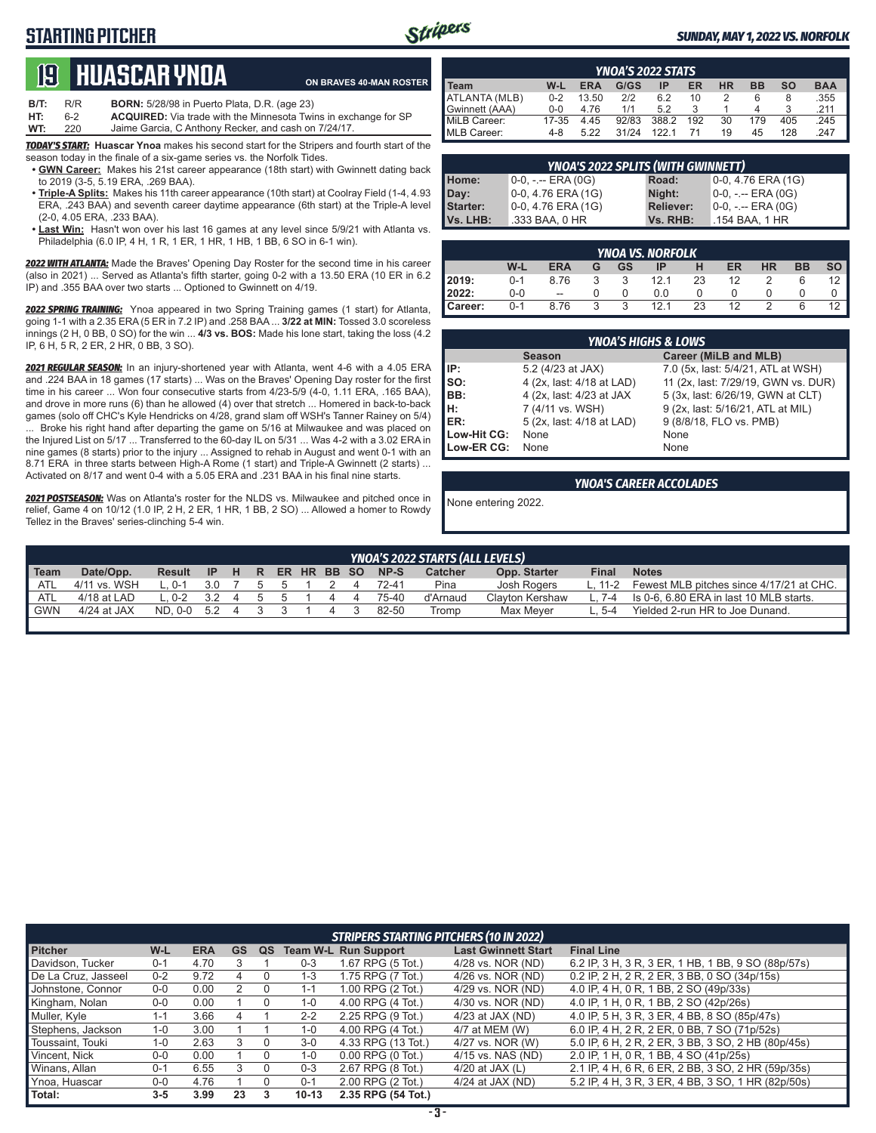# **STARTING PITCHER**



#### *SUNDAY, MAY 1, 2022 VS. NORFOLK*

# **19****Huascar ynoa**

**ON BRAVES 40-MAN ROSTER**

**B/T:** R/R **BORN:** 5/28/98 in Puerto Plata, D.R. (age 23)<br>**HT:** 6-2 **ACQUIRED:** Via trade with the Minnesota Twi **HT:** 6-2 **ACQUIRED:** Via trade with the Minnesota Twins in exchange for SP Jaime Garcia, C Anthony Recker, and cash on 7/24/17.

*TODAY'S START:* **Huascar Ynoa** makes his second start for the Stripers and fourth start of the season today in the finale of a six-game series vs. the Norfolk Tides.

- **• GWN Career:** Makes his 21st career appearance (18th start) with Gwinnett dating back to 2019 (3-5, 5.19 ERA, .269 BAA).
- **• Triple-A Splits:** Makes his 11th career appearance (10th start) at Coolray Field (1-4, 4.93 ERA, .243 BAA) and seventh career daytime appearance (6th start) at the Triple-A level (2-0, 4.05 ERA, .233 BAA).
- **• Last Win:** Hasn't won over his last 16 games at any level since 5/9/21 with Atlanta vs. Philadelphia (6.0 IP, 4 H, 1 R, 1 ER, 1 HR, 1 HB, 1 BB, 6 SO in 6-1 win).

**2022 WITH ATLANTA:** Made the Braves' Opening Day Roster for the second time in his career (also in 2021) ... Served as Atlanta's fifth starter, going 0-2 with a 13.50 ERA (10 ER in 6.2 IP) and .355 BAA over two starts ... Optioned to Gwinnett on 4/19.

2022 **SPRING TRAINING:** Ynoa appeared in two Spring Training games (1 start) for Atlanta, going 1-1 with a 2.35 ERA (5 ER in 7.2 IP) and .258 BAA ... **3/22 at MIN:** Tossed 3.0 scoreless innings (2 H, 0 BB, 0 SO) for the win ... **4/3 vs. BOS:** Made his lone start, taking the loss (4.2 IP, 6 H, 5 R, 2 ER, 2 HR, 0 BB, 3 SO).

*2021 REGULAR SEASON:* In an injury-shortened year with Atlanta, went 4-6 with a 4.05 ERA and .224 BAA in 18 games (17 starts) ... Was on the Braves' Opening Day roster for the first time in his career ... Won four consecutive starts from 4/23-5/9 (4-0, 1.11 ERA, .165 BAA), and drove in more runs (6) than he allowed (4) over that stretch ... Homered in back-to-back games (solo off CHC's Kyle Hendricks on 4/28, grand slam off WSH's Tanner Rainey on 5/4) ... Broke his right hand after departing the game on 5/16 at Milwaukee and was placed on the Injured List on 5/17 ... Transferred to the 60-day IL on 5/31 ... Was 4-2 with a 3.02 ERA in nine games (8 starts) prior to the injury ... Assigned to rehab in August and went 0-1 with an 8.71 ERA in three starts between High-A Rome (1 start) and Triple-A Gwinnett (2 starts) ... Activated on 8/17 and went 0-4 with a 5.05 ERA and .231 BAA in his final nine starts.

*2021 POSTSEASON:* Was on Atlanta's roster for the NLDS vs. Milwaukee and pitched once in relief, Game 4 on 10/12 (1.0 IP, 2 H, 2 ER, 1 HR, 1 BB, 2 SO) ... Allowed a homer to Rowdy Tellez in the Braves' series-clinching 5-4 win.

| <b>YNOA'S 2022 STATS</b> |         |            |       |       |     |           |     |           |            |
|--------------------------|---------|------------|-------|-------|-----|-----------|-----|-----------|------------|
| Team                     | W-L     | <b>ERA</b> | G/GS  |       | ER  | <b>HR</b> | ВB  | <b>SO</b> | <b>BAA</b> |
| ATLANTA (MLB)            | $0 - 2$ | 13.50      | 2/2   | 6.2   | 10  |           |     |           | .355       |
| Gwinnett (AAA)           | $0 - 0$ | 4.76       | 1/1   | 52    |     |           |     |           | 211        |
| MiLB Career:             | 17-35   | 4.45       | 92/83 | 388.2 | 192 | 30        | 179 | 405       | .245       |
| MLB Career:              | 4-8     | 5.22       | 31/24 | 122.1 |     | 19        | 45  | 128       | .247       |

| YNOA'S 2022 SPLITS (WITH GWINNETT) |                     |                  |                     |  |  |  |
|------------------------------------|---------------------|------------------|---------------------|--|--|--|
| Home:                              | $0-0, - -$ ERA (0G) | Road:            | 0-0, 4.76 ERA (1G)  |  |  |  |
| Day:                               | 0-0, 4.76 ERA (1G)  | Night:           | $0-0, - -$ ERA (0G) |  |  |  |
| <b>Starter:</b>                    | 0-0, 4.76 ERA (1G)  | <b>Reliever:</b> | 0-0, -.-- ERA (0G)  |  |  |  |
| Vs. LHB:                           | .333 BAA, 0 HR      | Vs. RHB:         | .154 BAA, 1 HR      |  |  |  |

|         | <b>YNOA VS. NORFOLK</b> |            |   |                         |      |    |           |               |           |                |  |  |  |  |
|---------|-------------------------|------------|---|-------------------------|------|----|-----------|---------------|-----------|----------------|--|--|--|--|
|         | W-L                     | <b>ERA</b> | G | GS -                    | ΙP   | н  | <b>ER</b> | <b>HR</b>     | <b>BB</b> | so l           |  |  |  |  |
| 2019:   | $0 - 1$                 | 8.76       |   | $\overline{\mathbf{3}}$ | 12.1 | 23 | 12        |               |           | $12 \parallel$ |  |  |  |  |
| 2022:   | $0-0$                   | $\sim$     |   |                         | 0.0  |    |           |               |           |                |  |  |  |  |
| Career: | $0 - 1$                 | 8.76       | 3 | ્વ                      | 12.1 | 23 | 12        | $\mathcal{P}$ |           |                |  |  |  |  |

|             | <b>YNOA'S HIGHS &amp; LOWS</b> |                                     |  |  |  |  |  |  |  |  |  |  |  |
|-------------|--------------------------------|-------------------------------------|--|--|--|--|--|--|--|--|--|--|--|
|             | <b>Season</b>                  | Career (MiLB and MLB)               |  |  |  |  |  |  |  |  |  |  |  |
| IIP:        | 5.2 (4/23 at JAX)              | 7.0 (5x, last: 5/4/21, ATL at WSH)  |  |  |  |  |  |  |  |  |  |  |  |
| Iso:        | 4 (2x, last: 4/18 at LAD)      | 11 (2x, last: 7/29/19, GWN vs. DUR) |  |  |  |  |  |  |  |  |  |  |  |
| IBB:        | 4 (2x, last: 4/23 at JAX       | 5 (3x, last: 6/26/19, GWN at CLT)   |  |  |  |  |  |  |  |  |  |  |  |
| IH:         | 7 (4/11 vs. WSH)               | 9 (2x, last: 5/16/21, ATL at MIL)   |  |  |  |  |  |  |  |  |  |  |  |
| ER:         | 5 (2x, last: 4/18 at LAD)      | 9 (8/8/18, FLO vs. PMB)             |  |  |  |  |  |  |  |  |  |  |  |
| Low-Hit CG: | None                           | None                                |  |  |  |  |  |  |  |  |  |  |  |
| Low-ER CG:  | None                           | None                                |  |  |  |  |  |  |  |  |  |  |  |

#### *YNOA'S CAREER ACCOLADES*

None entering 2022.

|            | <b>YNOA'S 2022 STARTS (ALL LEVELS)</b> |         |           |                |     |               |  |  |  |       |          |                 |              |                                          |
|------------|----------------------------------------|---------|-----------|----------------|-----|---------------|--|--|--|-------|----------|-----------------|--------------|------------------------------------------|
| Team       | Date/Opp.                              | Result  | <b>IP</b> | H              | R   | ER HR BB SO   |  |  |  | NP-S  | Catcher  | Opp. Starter    | Final        | <b>Notes</b>                             |
| ATL        | 4/11 vs. WSH                           | በ-1     | 3.0       |                | b.  | $\mathcal{L}$ |  |  |  | 72-41 | Pina     | Josh Rogers     | $\cdot$ 11-2 | Fewest MLB pitches since 4/17/21 at CHC. |
| ATL        | 4/18 at LAD                            | $-.0-2$ | 3.2       | $\overline{a}$ | - 5 | $\mathcal{D}$ |  |  |  | 75-40 | d'Arnaud | Clavton Kershaw | 7-4          | Is 0-6, 6.80 ERA in last 10 MLB starts.  |
| <b>GWN</b> | 4/24 at JAX                            | ND. 0-0 | 5.2       | $\overline{a}$ |     |               |  |  |  | 82-50 | Tromp    | Max Mever       | 5-4          | Yielded 2-run HR to Joe Dunand.          |
|            |                                        |         |           |                |     |               |  |  |  |       |          |                 |              |                                          |

| <b>STRIPERS STARTING PITCHERS (10 IN 2022)</b> |         |            |           |    |                 |                        |                            |                                                    |  |  |  |  |
|------------------------------------------------|---------|------------|-----------|----|-----------------|------------------------|----------------------------|----------------------------------------------------|--|--|--|--|
| <b>Pitcher</b>                                 | W-L     | <b>ERA</b> | <b>GS</b> | QS | <b>Team W-L</b> | <b>Run Support</b>     | <b>Last Gwinnett Start</b> | <b>Final Line</b>                                  |  |  |  |  |
| Davidson, Tucker                               | $0 - 1$ | 4.70       | 3         |    | $0 - 3$         | 1.67 RPG (5 Tot.)      | 4/28 vs. NOR (ND)          | 6.2 IP, 3 H, 3 R, 3 ER, 1 HB, 1 BB, 9 SO (88p/57s) |  |  |  |  |
| De La Cruz, Jasseel                            | $0 - 2$ | 9.72       | 4         |    | $1 - 3$         | 1.75 RPG (7 Tot.)      | 4/26 vs. NOR (ND)          | 0.2 IP, 2 H, 2 R, 2 ER, 3 BB, 0 SO (34p/15s)       |  |  |  |  |
| Johnstone, Connor                              | $0-0$   | 0.00       |           |    | $1 - 1$         | 1.00 RPG (2 Tot.)      | 4/29 vs. NOR (ND)          | 4.0 IP, 4 H, 0 R, 1 BB, 2 SO (49p/33s)             |  |  |  |  |
| Kingham, Nolan                                 | $0-0$   | 0.00       |           | 0  | $1 - 0$         | 4.00 RPG (4 Tot.)      | 4/30 vs. NOR (ND)          | 4.0 IP, 1 H, 0 R, 1 BB, 2 SO (42p/26s)             |  |  |  |  |
| Muller, Kyle                                   | $1 - 1$ | 3.66       | 4         |    | $2 - 2$         | 2.25 RPG (9 Tot.)      | $4/23$ at JAX (ND)         | 4.0 IP, 5 H, 3 R, 3 ER, 4 BB, 8 SO (85p/47s)       |  |  |  |  |
| Stephens, Jackson                              | $1 - 0$ | 3.00       |           |    | $1 - 0$         | 4.00 RPG (4 Tot.)      | 4/7 at MEM (W)             | 6.0 IP, 4 H, 2 R, 2 ER, 0 BB, 7 SO (71p/52s)       |  |  |  |  |
| Toussaint, Touki                               | $1 - 0$ | 2.63       | 3         |    | $3 - 0$         | 4.33 RPG (13 Tot.)     | 4/27 vs. NOR (W)           | 5.0 IP, 6 H, 2 R, 2 ER, 3 BB, 3 SO, 2 HB (80p/45s) |  |  |  |  |
| Vincent. Nick                                  | $0-0$   | 0.00       |           |    | $1 - 0$         | $0.00$ RPG $(0)$ Tot.) | 4/15 vs. NAS (ND)          | 2.0 IP, 1 H, 0 R, 1 BB, 4 SO (41p/25s)             |  |  |  |  |
| Winans, Allan                                  | $0 - 1$ | 6.55       | 3         |    | $0 - 3$         | 2.67 RPG (8 Tot.)      | 4/20 at JAX $(L)$          | 2.1 IP, 4 H, 6 R, 6 ER, 2 BB, 3 SO, 2 HR (59p/35s) |  |  |  |  |
| Ynoa, Huascar                                  | $0-0$   | 4.76       |           |    | $0 - 1$         | 2.00 RPG (2 Tot.)      | $4/24$ at JAX (ND)         | 5.2 IP, 4 H, 3 R, 3 ER, 4 BB, 3 SO, 1 HR (82p/50s) |  |  |  |  |
| Total:                                         | $3 - 5$ | 3.99       | 23        | 3  | $10-13$         | 2.35 RPG (54 Tot.)     |                            |                                                    |  |  |  |  |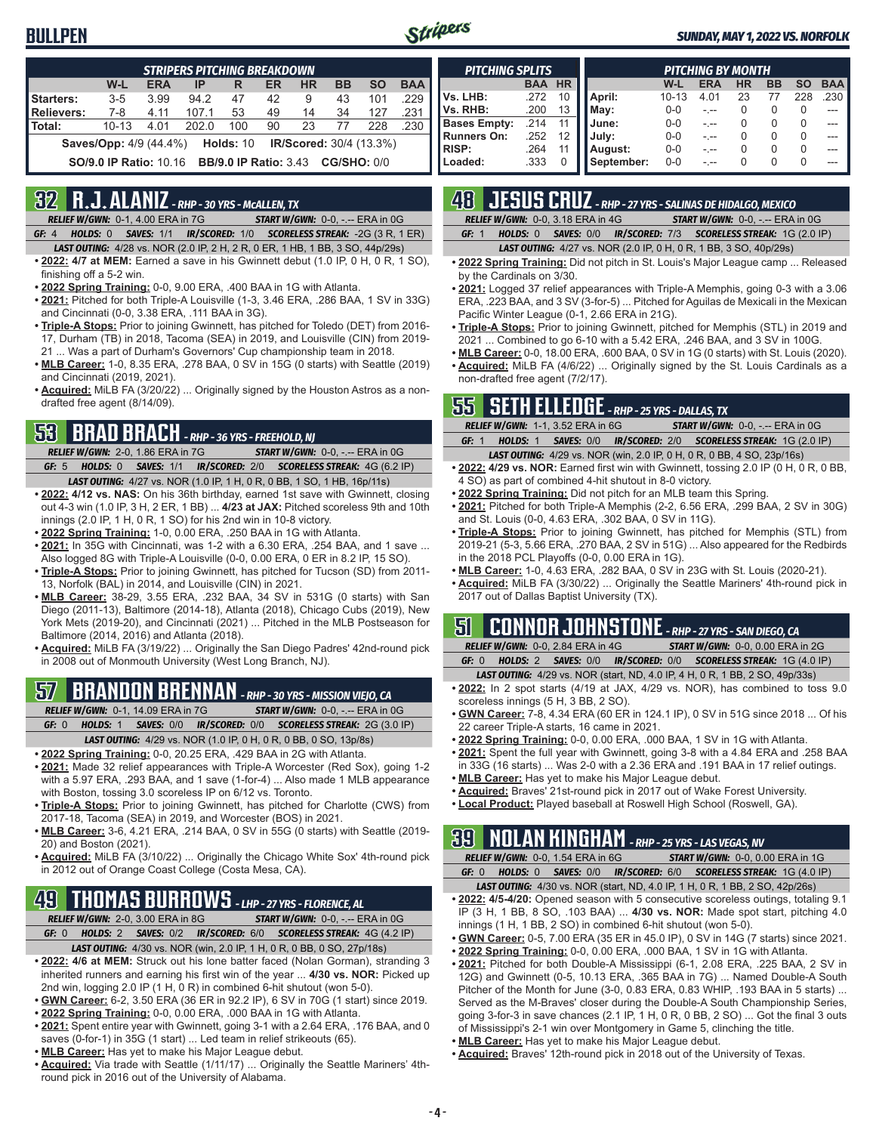## **BULLPEN**



#### *SUNDAY, MAY 1, 2022 VS. NORFOLK*

|                   | <b>STRIPERS PITCHING BREAKDOWN</b>                                           |            |       |     |    |           |           |           |            |  |  |  |  |
|-------------------|------------------------------------------------------------------------------|------------|-------|-----|----|-----------|-----------|-----------|------------|--|--|--|--|
|                   | W-L                                                                          | <b>ERA</b> | IP    | R   | ER | <b>HR</b> | <b>BB</b> | <b>SO</b> | <b>BAA</b> |  |  |  |  |
| Starters:         | $3 - 5$                                                                      | 3.99       | 94.2  | 47  | 42 | 9         | 43        | 101       | .229       |  |  |  |  |
| <b>Relievers:</b> | $7 - 8$                                                                      | 4.11       | 107.1 | 53  | 49 | 14        | 34        | 127       | .231       |  |  |  |  |
| Total:            | $10 - 13$                                                                    | 4.01       | 202.0 | 100 | 90 | 23        | 77        | 228       | .230       |  |  |  |  |
|                   | Holds: 10<br><b>Saves/Opp:</b> 4/9 (44.4%)<br><b>IR/Scored:</b> 30/4 (13.3%) |            |       |     |    |           |           |           |            |  |  |  |  |
|                   | <b>CG/SHO: 0/0</b><br><b>SO/9.0 IP Ratio: 10.16 BB/9.0 IP Ratio: 3.43</b>    |            |       |     |    |           |           |           |            |  |  |  |  |

## **32 R.J. ALANIZ** *- RHP - 30 YRS - McALLEN, TX*

*RELIEF W/GWN:*0-1, 4.00 ERA in 7G *START W/GWN:*0-0, -.-- ERA in 0G

- *GF:*4 *HOLDS:*0 *SAVES:*1/1 *IR/SCORED:*1/0 *SCORELESS STREAK:*-2G (3 R, 1 ER) *LAST OUTING:*4/28 vs. NOR (2.0 IP, 2 H, 2 R, 0 ER, 1 HB, 1 BB, 3 SO, 44p/29s)
- **• 2022: 4/7 at MEM:** Earned a save in his Gwinnett debut (1.0 IP, 0 H, 0 R, 1 SO), finishing off a 5-2 win.
- **• 2022 Spring Training:** 0-0, 9.00 ERA, .400 BAA in 1G with Atlanta.
- **• 2021:** Pitched for both Triple-A Louisville (1-3, 3.46 ERA, .286 BAA, 1 SV in 33G) and Cincinnati (0-0, 3.38 ERA, .111 BAA in 3G).
- **• Triple-A Stops:** Prior to joining Gwinnett, has pitched for Toledo (DET) from 2016- 17, Durham (TB) in 2018, Tacoma (SEA) in 2019, and Louisville (CIN) from 2019- 21 ... Was a part of Durham's Governors' Cup championship team in 2018.
- **• MLB Career:** 1-0, 8.35 ERA, .278 BAA, 0 SV in 15G (0 starts) with Seattle (2019) and Cincinnati (2019, 2021).
- **• Acquired:** MiLB FA (3/20/22) ... Originally signed by the Houston Astros as a nondrafted free agent (8/14/09).

# **53 BRAD BRACH** *- RHP - 36 YRS - FREEHOLD, NJ*

- *RELIEF W/GWN:*2-0, 1.86 ERA in 7G *START W/GWN:*0-0, -.-- ERA in 0G *GF:*5 *HOLDS:*0 *SAVES:*1/1 *IR/SCORED:*2/0 *SCORELESS STREAK:*4G (6.2 IP)
- *LAST OUTING:*4/27 vs. NOR (1.0 IP, 1 H, 0 R, 0 BB, 1 SO, 1 HB, 16p/11s) **• 2022: 4/12 vs. NAS:** On his 36th birthday, earned 1st save with Gwinnett, closing out 4-3 win (1.0 IP, 3 H, 2 ER, 1 BB) ... **4/23 at JAX:** Pitched scoreless 9th and 10th innings (2.0 IP, 1 H, 0 R, 1 SO) for his 2nd win in 10-8 victory.
- **• 2022 Spring Training:** 1-0, 0.00 ERA, .250 BAA in 1G with Atlanta.
- **• 2021:** In 35G with Cincinnati, was 1-2 with a 6.30 ERA, .254 BAA, and 1 save ... Also logged 8G with Triple-A Louisville (0-0, 0.00 ERA, 0 ER in 8.2 IP, 15 SO).
- **• Triple-A Stops:** Prior to joining Gwinnett, has pitched for Tucson (SD) from 2011- 13, Norfolk (BAL) in 2014, and Louisville (CIN) in 2021.
- **• MLB Career:** 38-29, 3.55 ERA, .232 BAA, 34 SV in 531G (0 starts) with San Diego (2011-13), Baltimore (2014-18), Atlanta (2018), Chicago Cubs (2019), New York Mets (2019-20), and Cincinnati (2021) ... Pitched in the MLB Postseason for Baltimore (2014, 2016) and Atlanta (2018).
- **• Acquired:** MiLB FA (3/19/22) ... Originally the San Diego Padres' 42nd-round pick in 2008 out of Monmouth University (West Long Branch, NJ).

# **57 BRANDON BRENNAN** *- RHP - 30 YRS - MISSION VIEJO, CA*

*RELIEF W/GWN:*0-1, 14.09 ERA in 7G *START W/GWN:*0-0, -.-- ERA in 0G *GF:*0 *HOLDS:*1 *SAVES:*0/0 *IR/SCORED:*0/0 *SCORELESS STREAK:*2G (3.0 IP)

- *LAST OUTING:*4/29 vs. NOR (1.0 IP, 0 H, 0 R, 0 BB, 0 SO, 13p/8s)
- **• 2022 Spring Training:** 0-0, 20.25 ERA, .429 BAA in 2G with Atlanta.
- **• 2021:** Made 32 relief appearances with Triple-A Worcester (Red Sox), going 1-2 with a 5.97 ERA, .293 BAA, and 1 save (1-for-4) ... Also made 1 MLB appearance with Boston, tossing 3.0 scoreless IP on 6/12 vs. Toronto.
- **• Triple-A Stops:** Prior to joining Gwinnett, has pitched for Charlotte (CWS) from 2017-18, Tacoma (SEA) in 2019, and Worcester (BOS) in 2021.
- **• MLB Career:** 3-6, 4.21 ERA, .214 BAA, 0 SV in 55G (0 starts) with Seattle (2019- 20) and Boston (2021).
- **• Acquired:** MiLB FA (3/10/22) ... Originally the Chicago White Sox' 4th-round pick in 2012 out of Orange Coast College (Costa Mesa, CA).

# **49 THOMAS BURROWS** *- LHP - 27 YRS - FLORENCE, AL*

*RELIEF W/GWN:*2-0, 3.00 ERA in 8G *START W/GWN:*0-0, -.-- ERA in 0G

- *GF:*0 *HOLDS:*2 *SAVES:*0/2 *IR/SCORED:*6/0 *SCORELESS STREAK:*4G (4.2 IP)
	- *LAST OUTING:*4/30 vs. NOR (win, 2.0 IP, 1 H, 0 R, 0 BB, 0 SO, 27p/18s)
- **• 2022: 4/6 at MEM:** Struck out his lone batter faced (Nolan Gorman), stranding 3 inherited runners and earning his first win of the year ... **4/30 vs. NOR:** Picked up 2nd win, logging 2.0 IP (1 H, 0 R) in combined 6-hit shutout (won 5-0).
- **• GWN Career:** 6-2, 3.50 ERA (36 ER in 92.2 IP), 6 SV in 70G (1 start) since 2019.
- **• 2022 Spring Training:** 0-0, 0.00 ERA, .000 BAA in 1G with Atlanta.
- **• 2021:** Spent entire year with Gwinnett, going 3-1 with a 2.64 ERA, .176 BAA, and 0 saves (0-for-1) in 35G (1 start) ... Led team in relief strikeouts (65).
- **• MLB Career:** Has yet to make his Major League debut.
- **• Acquired:** Via trade with Seattle (1/11/17) ... Originally the Seattle Mariners' 4thround pick in 2016 out of the University of Alabama.

| <b>PITCHING SPLITS</b> |            |           | <b>PITCHING BY MONTH</b> |           |            |           |           |           |            |  |
|------------------------|------------|-----------|--------------------------|-----------|------------|-----------|-----------|-----------|------------|--|
|                        | <b>BAA</b> | <b>HR</b> |                          | W-L       | <b>ERA</b> | <b>HR</b> | <b>BB</b> | <b>SO</b> | <b>BAA</b> |  |
| Vs. LHB:               | .272       | 10        | April:                   | $10 - 13$ | 4.01       | 23        | 77        | 228       | .230 l     |  |
| Vs. RHB:               | .200       | 13        | May:                     | $0 - 0$   |            |           |           | 0         | ---        |  |
| <b>Bases Empty:</b>    | .214       | 11        | June:                    | $0 - 0$   |            |           |           | O         |            |  |
| <b>Runners On:</b>     | .252       | 12        | July:                    | $0 - 0$   |            |           | $\Omega$  | 0         |            |  |
| <b>RISP:</b>           | .264       | 11        | August:                  | $0 - 0$   |            |           | $\cup$    | 0         | ---        |  |
| Loaded:                | .333       | 0         | September:               | $0 - 0$   |            |           |           | $\Omega$  | ---        |  |

# **48 JESUS CRUZ** *- RHP - 27 YRS - SALINAS DE HIDALGO, MEXICO*

| ___ |  |                                                                        |  | ,我们也不会有什么。""我们,我们也不会有什么?""我们,我们也不会有什么?""我们,我们也不会有什么?""我们,我们也不会有什么?""我们,我们也不会有什么? |                                                      |  |
|-----|--|------------------------------------------------------------------------|--|----------------------------------------------------------------------------------|------------------------------------------------------|--|
|     |  | <b>RELIEF W/GWN: 0-0, 3.18 ERA in 4G</b>                               |  |                                                                                  | <b>START W/GWN: <math>0-0</math>, -.-- ERA in OG</b> |  |
|     |  | GF: 1 HOLDS: 0 SAVES: 0/0 IR/SCORED: 7/3 SCORELESS STREAK: 1G (2.0 IP) |  |                                                                                  |                                                      |  |

*LAST OUTING:*4/27 vs. NOR (2.0 IP, 0 H, 0 R, 1 BB, 3 SO, 40p/29s)

- **• 2022 Spring Training:** Did not pitch in St. Louis's Major League camp ... Released by the Cardinals on 3/30.
- **• 2021:** Logged 37 relief appearances with Triple-A Memphis, going 0-3 with a 3.06 ERA, .223 BAA, and 3 SV (3-for-5) ... Pitched for Aguilas de Mexicali in the Mexican Pacific Winter League (0-1, 2.66 ERA in 21G).
- **• Triple-A Stops:** Prior to joining Gwinnett, pitched for Memphis (STL) in 2019 and 2021 ... Combined to go 6-10 with a 5.42 ERA, .246 BAA, and 3 SV in 100G.
- **• MLB Career:** 0-0, 18.00 ERA, .600 BAA, 0 SV in 1G (0 starts) with St. Louis (2020). **• Acquired:** MiLB FA (4/6/22) ... Originally signed by the St. Louis Cardinals as a non-drafted free agent (7/2/17).

# **55 SETH ELLEDGE** *- RHP - 25 YRS - DALLAS, TX*

| <b>RELIEF W/GWN: 1-1, 3.52 ERA in 6G</b><br><b>START W/GWN: 0-0, -.-- ERA in 0G</b> |          |  |  |                                                                               |                                                                |  |  |  |  |  |
|-------------------------------------------------------------------------------------|----------|--|--|-------------------------------------------------------------------------------|----------------------------------------------------------------|--|--|--|--|--|
| GF: $1$                                                                             | HOLDS: 1 |  |  |                                                                               | <b>SAVES: 0/0 IR/SCORED: 2/0 SCORELESS STREAK: 1G (2.0 IP)</b> |  |  |  |  |  |
|                                                                                     |          |  |  | <b>LAST OUTING:</b> 4/29 vs. NOR (win, 2.0 IP, 0 H, 0 R, 0 BB, 4 SO, 23p/16s) |                                                                |  |  |  |  |  |

- **• 2022: 4/29 vs. NOR:** Earned first win with Gwinnett, tossing 2.0 IP (0 H, 0 R, 0 BB, 4 SO) as part of combined 4-hit shutout in 8-0 victory.
- **• 2022 Spring Training:** Did not pitch for an MLB team this Spring.
- **• 2021:** Pitched for both Triple-A Memphis (2-2, 6.56 ERA, .299 BAA, 2 SV in 30G) and St. Louis (0-0, 4.63 ERA, .302 BAA, 0 SV in 11G).
- **• Triple-A Stops:** Prior to joining Gwinnett, has pitched for Memphis (STL) from 2019-21 (5-3, 5.66 ERA, .270 BAA, 2 SV in 51G) ... Also appeared for the Redbirds in the 2018 PCL Playoffs (0-0, 0.00 ERA in 1G).
- **• MLB Career:** 1-0, 4.63 ERA, .282 BAA, 0 SV in 23G with St. Louis (2020-21).
- **• Acquired:** MiLB FA (3/30/22) ... Originally the Seattle Mariners' 4th-round pick in 2017 out of Dallas Baptist University (TX).

# **51 CONNOR JOHNSTONE** *- RHP - 27 YRS - SAN DIEGO, CA*

*RELIEF W/GWN:*0-0, 2.84 ERA in 4G *START W/GWN:*0-0, 0.00 ERA in 2G *GF:*0 *HOLDS:*2 *SAVES:*0/0 *IR/SCORED:*0/0 *SCORELESS STREAK:*1G (4.0 IP)

*LAST OUTING:*4/29 vs. NOR (start, ND, 4.0 IP, 4 H, 0 R, 1 BB, 2 SO, 49p/33s)

- **• 2022:** In 2 spot starts (4/19 at JAX, 4/29 vs. NOR), has combined to toss 9.0 scoreless innings (5 H, 3 BB, 2 SO).
- **• GWN Career:** 7-8, 4.34 ERA (60 ER in 124.1 IP), 0 SV in 51G since 2018 ... Of his 22 career Triple-A starts, 16 came in 2021.
- **• 2022 Spring Training:** 0-0, 0.00 ERA, .000 BAA, 1 SV in 1G with Atlanta.
- **• 2021:** Spent the full year with Gwinnett, going 3-8 with a 4.84 ERA and .258 BAA in 33G (16 starts) ... Was 2-0 with a 2.36 ERA and .191 BAA in 17 relief outings.
- **• MLB Career:** Has yet to make his Major League debut.
- **• Acquired:** Braves' 21st-round pick in 2017 out of Wake Forest University.
- **• Local Product:** Played baseball at Roswell High School (Roswell, GA).

# **39 NOLAN KINGHAM** *- RHP - 25 YRS - LAS VEGAS, NV*

*RELIEF W/GWN:*0-0, 1.54 ERA in 6G *START W/GWN:*0-0, 0.00 ERA in 1G *GF:*0 *HOLDS:*0 *SAVES:*0/0 *IR/SCORED:*6/0 *SCORELESS STREAK:*1G (4.0 IP) *LAST OUTING:*4/30 vs. NOR (start, ND, 4.0 IP, 1 H, 0 R, 1 BB, 2 SO, 42p/26s)

- **• 2022: 4/5-4/20:** Opened season with 5 consecutive scoreless outings, totaling 9.1 IP (3 H, 1 BB, 8 SO, .103 BAA) ... **4/30 vs. NOR:** Made spot start, pitching 4.0 innings (1 H, 1 BB, 2 SO) in combined 6-hit shutout (won 5-0).
- **• GWN Career:** 0-5, 7.00 ERA (35 ER in 45.0 IP), 0 SV in 14G (7 starts) since 2021.
- **• 2022 Spring Training:** 0-0, 0.00 ERA, .000 BAA, 1 SV in 1G with Atlanta.
- 2021: Pitched for both Double-A Mississippi (6-1, 2.08 ERA, .225 BAA, 2 SV in 12G) and Gwinnett (0-5, 10.13 ERA, .365 BAA in 7G) ... Named Double-A South Pitcher of the Month for June (3-0, 0.83 ERA, 0.83 WHIP, .193 BAA in 5 starts) ... Served as the M-Braves' closer during the Double-A South Championship Series, going 3-for-3 in save chances (2.1 IP, 1 H, 0 R, 0 BB, 2 SO) ... Got the final 3 outs of Mississippi's 2-1 win over Montgomery in Game 5, clinching the title.
- **• MLB Career:** Has yet to make his Major League debut.
- **• Acquired:** Braves' 12th-round pick in 2018 out of the University of Texas.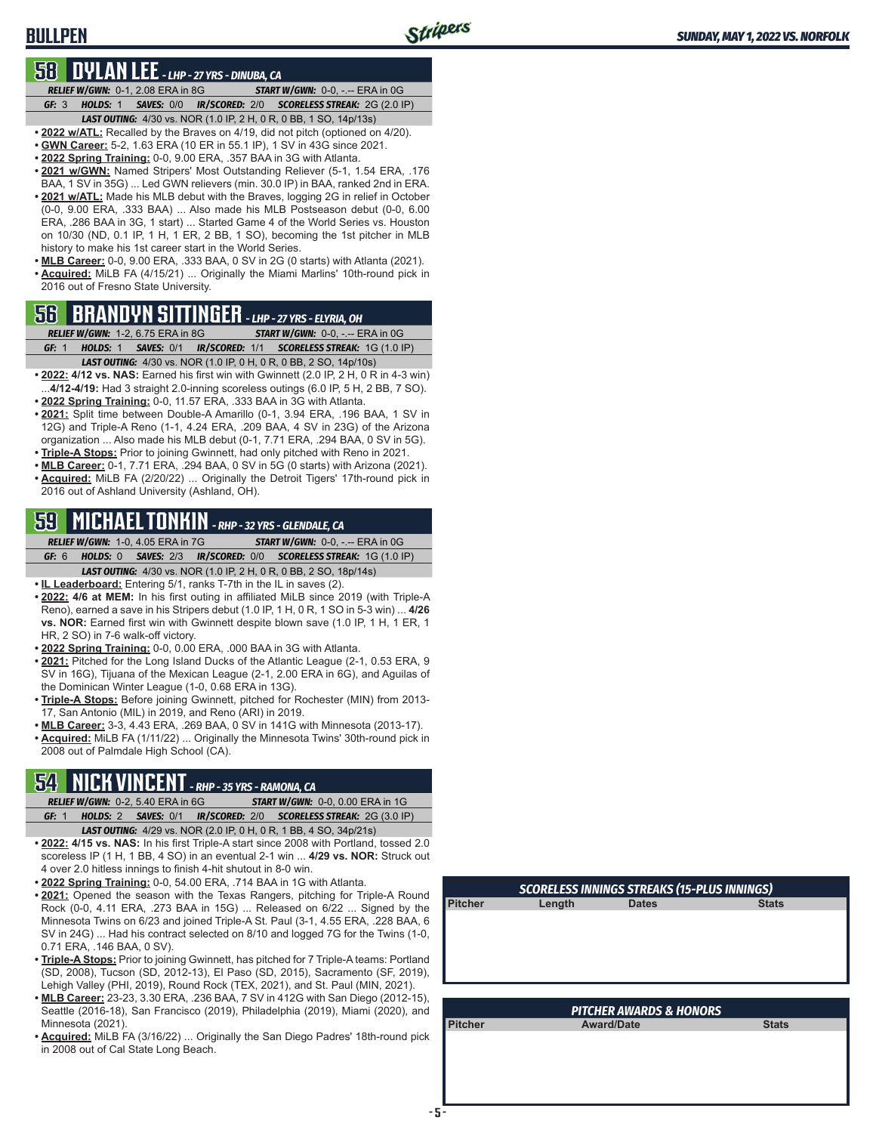# **BULLPEN**

## **58 DYLAN LEE** *- LHP - 27 YRS - DINUBA, CA*

*RELIEF W/GWN:*0-1, 2.08 ERA in 8G *START W/GWN:*0-0, -.-- ERA in 0G *GF:*3 *HOLDS:*1 *SAVES:*0/0 *IR/SCORED:*2/0 *SCORELESS STREAK:*2G (2.0 IP)

*LAST OUTING:*4/30 vs. NOR (1.0 IP, 2 H, 0 R, 0 BB, 1 SO, 14p/13s) **• 2022 w/ATL:** Recalled by the Braves on 4/19, did not pitch (optioned on 4/20).

- **• GWN Career:** 5-2, 1.63 ERA (10 ER in 55.1 IP), 1 SV in 43G since 2021.
- **• 2022 Spring Training:** 0-0, 9.00 ERA, .357 BAA in 3G with Atlanta.
- **• 2021 w/GWN:** Named Stripers' Most Outstanding Reliever (5-1, 1.54 ERA, .176 BAA, 1 SV in 35G) ... Led GWN relievers (min. 30.0 IP) in BAA, ranked 2nd in ERA.
- **• 2021 w/ATL:** Made his MLB debut with the Braves, logging 2G in relief in October (0-0, 9.00 ERA, .333 BAA) ... Also made his MLB Postseason debut (0-0, 6.00 ERA, .286 BAA in 3G, 1 start) ... Started Game 4 of the World Series vs. Houston on 10/30 (ND, 0.1 IP, 1 H, 1 ER, 2 BB, 1 SO), becoming the 1st pitcher in MLB history to make his 1st career start in the World Series.
- **• MLB Career:** 0-0, 9.00 ERA, .333 BAA, 0 SV in 2G (0 starts) with Atlanta (2021). **• Acquired:** MiLB FA (4/15/21) ... Originally the Miami Marlins' 10th-round pick in 2016 out of Fresno State University.

# **56 BRANDYN SITTINGER** *- LHP - 27 YRS - ELYRIA, OH*

*RELIEF W/GWN:*1-2, 6.75 ERA in 8G *START W/GWN:*0-0, -.-- ERA in 0G *GF:*1 *HOLDS:*1 *SAVES:*0/1 *IR/SCORED:*1/1 *SCORELESS STREAK:*1G (1.0 IP)

- *LAST OUTING:*4/30 vs. NOR (1.0 IP, 0 H, 0 R, 0 BB, 2 SO, 14p/10s)
- **• 2022: 4/12 vs. NAS:** Earned his first win with Gwinnett (2.0 IP, 2 H, 0 R in 4-3 win) ...**4/12-4/19:** Had 3 straight 2.0-inning scoreless outings (6.0 IP, 5 H, 2 BB, 7 SO). **• 2022 Spring Training:** 0-0, 11.57 ERA, .333 BAA in 3G with Atlanta.
- **• 2021:** Split time between Double-A Amarillo (0-1, 3.94 ERA, .196 BAA, 1 SV in 12G) and Triple-A Reno (1-1, 4.24 ERA, .209 BAA, 4 SV in 23G) of the Arizona organization ... Also made his MLB debut (0-1, 7.71 ERA, .294 BAA, 0 SV in 5G).
- **• Triple-A Stops:** Prior to joining Gwinnett, had only pitched with Reno in 2021.
- **• MLB Career:** 0-1, 7.71 ERA, .294 BAA, 0 SV in 5G (0 starts) with Arizona (2021). **• Acquired:** MiLB FA (2/20/22) ... Originally the Detroit Tigers' 17th-round pick in 2016 out of Ashland University (Ashland, OH).

# **59 MICHAEL TONKIN** *- RHP - 32 YRS - GLENDALE, CA*

*RELIEF W/GWN:*1-0, 4.05 ERA in 7G *START W/GWN:*0-0, -.-- ERA in 0G *GF:*6 *HOLDS:*0 *SAVES:*2/3 *IR/SCORED:*0/0 *SCORELESS STREAK:*1G (1.0 IP)

*LAST OUTING:*4/30 vs. NOR (1.0 IP, 2 H, 0 R, 0 BB, 2 SO, 18p/14s)

- **• IL Leaderboard:** Entering 5/1, ranks T-7th in the IL in saves (2).
- **• 2022: 4/6 at MEM:** In his first outing in affiliated MiLB since 2019 (with Triple-A Reno), earned a save in his Stripers debut (1.0 IP, 1 H, 0 R, 1 SO in 5-3 win) ... **4/26 vs. NOR:** Earned first win with Gwinnett despite blown save (1.0 IP, 1 H, 1 ER, 1 HR, 2 SO) in 7-6 walk-off victory.
- **• 2022 Spring Training:** 0-0, 0.00 ERA, .000 BAA in 3G with Atlanta.
- **• 2021:** Pitched for the Long Island Ducks of the Atlantic League (2-1, 0.53 ERA, 9 SV in 16G), Tijuana of the Mexican League (2-1, 2.00 ERA in 6G), and Aguilas of the Dominican Winter League (1-0, 0.68 ERA in 13G).
- **• Triple-A Stops:** Before joining Gwinnett, pitched for Rochester (MIN) from 2013- 17, San Antonio (MIL) in 2019, and Reno (ARI) in 2019.
- **• MLB Career:** 3-3, 4.43 ERA, .269 BAA, 0 SV in 141G with Minnesota (2013-17).
- **• Acquired:** MiLB FA (1/11/22) ... Originally the Minnesota Twins' 30th-round pick in 2008 out of Palmdale High School (CA).

# **54 NICK VINCENT** *- RHP - 35 YRS - RAMONA, CA*

*RELIEF W/GWN:*0-2, 5.40 ERA in 6G *START W/GWN:*0-0, 0.00 ERA in 1G *GF:*1 *HOLDS:*2 *SAVES:*0/1 *IR/SCORED:*2/0 *SCORELESS STREAK:*2G (3.0 IP) *LAST OUTING:*4/29 vs. NOR (2.0 IP, 0 H, 0 R, 1 BB, 4 SO, 34p/21s)

- **• 2022: 4/15 vs. NAS:** In his first Triple-A start since 2008 with Portland, tossed 2.0 scoreless IP (1 H, 1 BB, 4 SO) in an eventual 2-1 win ... **4/29 vs. NOR:** Struck out 4 over 2.0 hitless innings to finish 4-hit shutout in 8-0 win.
- **• 2022 Spring Training:** 0-0, 54.00 ERA, .714 BAA in 1G with Atlanta.
- **• 2021:** Opened the season with the Texas Rangers, pitching for Triple-A Round Rock (0-0, 4.11 ERA, .273 BAA in 15G) ... Released on 6/22 ... Signed by the Minnesota Twins on 6/23 and joined Triple-A St. Paul (3-1, 4.55 ERA, .228 BAA, 6 SV in 24G) ... Had his contract selected on 8/10 and logged 7G for the Twins (1-0, 0.71 ERA, .146 BAA, 0 SV).
- **• Triple-A Stops:** Prior to joining Gwinnett, has pitched for 7 Triple-A teams: Portland (SD, 2008), Tucson (SD, 2012-13), El Paso (SD, 2015), Sacramento (SF, 2019), Lehigh Valley (PHI, 2019), Round Rock (TEX, 2021), and St. Paul (MIN, 2021).
- **• MLB Career:** 23-23, 3.30 ERA, .236 BAA, 7 SV in 412G with San Diego (2012-15), Seattle (2016-18), San Francisco (2019), Philadelphia (2019), Miami (2020), and Minnesota (2021).
- **• Acquired:** MiLB FA (3/16/22) ... Originally the San Diego Padres' 18th-round pick in 2008 out of Cal State Long Beach.

| <b>SCORELESS INNINGS STREAKS (15-PLUS INNINGS)</b> |              |              |  |  |  |  |  |  |  |  |  |  |
|----------------------------------------------------|--------------|--------------|--|--|--|--|--|--|--|--|--|--|
| Length                                             | <b>Dates</b> | <b>Stats</b> |  |  |  |  |  |  |  |  |  |  |
|                                                    |              |              |  |  |  |  |  |  |  |  |  |  |
|                                                    |              |              |  |  |  |  |  |  |  |  |  |  |
|                                                    |              |              |  |  |  |  |  |  |  |  |  |  |
|                                                    |              |              |  |  |  |  |  |  |  |  |  |  |
|                                                    |              |              |  |  |  |  |  |  |  |  |  |  |

| <b>PITCHER AWARDS &amp; HONORS</b> |                   |              |  |  |  |  |  |  |  |  |  |
|------------------------------------|-------------------|--------------|--|--|--|--|--|--|--|--|--|
| <b>Pitcher</b>                     | <b>Award/Date</b> | <b>Stats</b> |  |  |  |  |  |  |  |  |  |
|                                    |                   |              |  |  |  |  |  |  |  |  |  |
|                                    |                   |              |  |  |  |  |  |  |  |  |  |
|                                    |                   |              |  |  |  |  |  |  |  |  |  |
|                                    |                   |              |  |  |  |  |  |  |  |  |  |
|                                    |                   |              |  |  |  |  |  |  |  |  |  |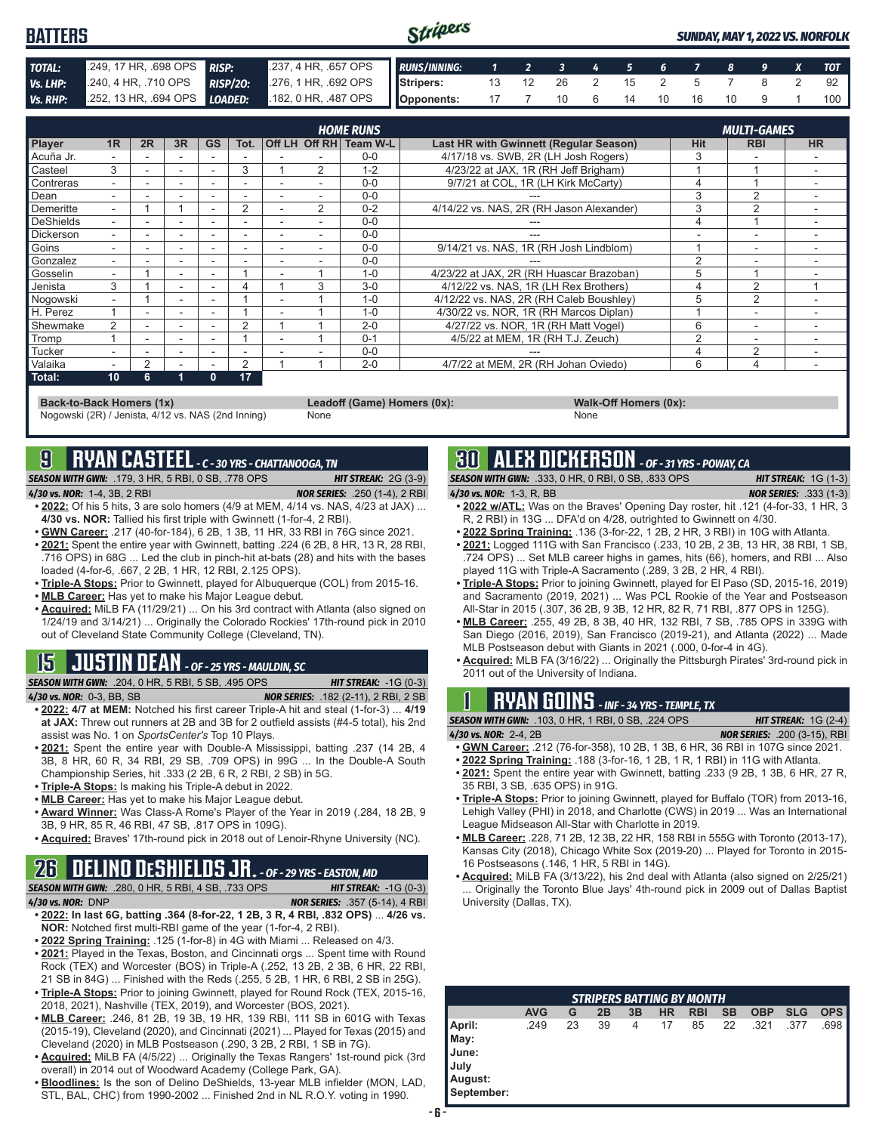| <b>BATTERS</b> |                                                                                                |  | Stripers<br><b>SUNDAY, MAY 1, 2022 VS. NORFOLK</b> |  |  |  |  |  |  |  |  |  |  |     |
|----------------|------------------------------------------------------------------------------------------------|--|----------------------------------------------------|--|--|--|--|--|--|--|--|--|--|-----|
| TOTAL:         | 249, 17 HR, .698 OPS RISP: 237, 4 HR, .657 OPS RUNS/INNING: 1 2 3 4 5 6 7 8 9 X TOT            |  |                                                    |  |  |  |  |  |  |  |  |  |  |     |
| Vs. LHP:       | 240, 4 HR, 710 OPS RISP/20: 276, 1 HR, 692 OPS Stripers: 13 12 26 2 15 2 5 7 8 2 92            |  |                                                    |  |  |  |  |  |  |  |  |  |  |     |
|                | Vs. RHP: 252, 13 HR, 694 OPS LOADED: 182, 0 HR, 487 OPS   Opponents: 17 7 10 6 14 10 16 10 9 1 |  |                                                    |  |  |  |  |  |  |  |  |  |  | 100 |

|                  |                |               |    |              |                |                          |                | <b>HOME RUNS</b>       |                                               |            | <b>MULTI-GAMES</b> |           |
|------------------|----------------|---------------|----|--------------|----------------|--------------------------|----------------|------------------------|-----------------------------------------------|------------|--------------------|-----------|
| <b>Player</b>    | 1 <sub>R</sub> | 2R            | 3R | <b>GS</b>    | Tot.           |                          |                | Off LH Off RH Team W-L | <b>Last HR with Gwinnett (Regular Season)</b> | <b>Hit</b> | <b>RBI</b>         | <b>HR</b> |
| Acuña Jr.        |                |               |    |              |                |                          |                | $0 - 0$                | 4/17/18 vs. SWB, 2R (LH Josh Rogers)          |            |                    |           |
| Casteel          | 3              |               | ۰  |              | 3              |                          | $\overline{2}$ | $1 - 2$                | 4/23/22 at JAX, 1R (RH Jeff Brigham)          |            |                    |           |
| Contreras        |                |               | ۰  |              |                |                          |                | $0 - 0$                | 9/7/21 at COL, 1R (LH Kirk McCarty)           | 4          |                    |           |
| Dean             |                |               | ۰  |              |                |                          |                | $0 - 0$                |                                               | 3          | $\overline{2}$     |           |
| Demeritte        | $\sim$         |               |    |              | 2              |                          | 2              | $0 - 2$                | 4/14/22 vs. NAS, 2R (RH Jason Alexander)      | 3          | $\overline{2}$     |           |
| DeShields        | ۰.             |               | ۰  |              |                |                          |                | $0 - 0$                |                                               | 4          |                    |           |
| <b>Dickerson</b> |                |               | ۰  |              |                |                          |                | $0 - 0$                |                                               |            | -                  |           |
| Goins            |                |               |    |              |                |                          |                | $0 - 0$                | 9/14/21 vs. NAS, 1R (RH Josh Lindblom)        |            | ۰                  |           |
| Gonzalez         |                |               |    |              |                |                          |                | $0 - 0$                |                                               | 2          | ۰                  |           |
| Gosselin         | н.             |               | ۰. | ۰.           |                | $\overline{\phantom{a}}$ |                | $1 - 0$                | 4/23/22 at JAX, 2R (RH Huascar Brazoban)      | 5          |                    |           |
| Jenista          | 3              |               | ۰. |              | 4              |                          | 3              | $3-0$                  | 4/12/22 vs. NAS, 1R (LH Rex Brothers)         | 4          | 2                  |           |
| Noqowski         |                |               |    |              |                |                          |                | $1 - 0$                | 4/12/22 vs. NAS, 2R (RH Caleb Boushley)       | 5          | 2                  |           |
| H. Perez         |                |               |    |              |                |                          |                | $1 - 0$                | 4/30/22 vs. NOR, 1R (RH Marcos Diplan)        |            | ÷                  |           |
| Shewmake         | $\overline{2}$ |               | ۰  |              | $\overline{2}$ |                          |                | $2 - 0$                | 4/27/22 vs. NOR. 1R (RH Matt Vogel)           | 6          | ٠                  |           |
| Tromp            |                | ۰.            | ۰  |              |                |                          |                | $0 - 1$                | 4/5/22 at MEM, 1R (RH T.J. Zeuch)             | 2          | -                  |           |
| <b>Tucker</b>    |                | -             | ۰  |              |                |                          |                | $0 - 0$                |                                               |            | $\overline{2}$     |           |
| <b>Valaika</b>   | ۰.             | $\mathcal{P}$ |    |              | 2              |                          |                | $2 - 0$                | 4/7/22 at MEM, 2R (RH Johan Oviedo)           | 6          | 4                  |           |
| Total:           | 10             | 6.            | 4  | $\mathbf{0}$ | 17             |                          |                |                        |                                               |            |                    |           |

**Back-to-Back Homers (1x) Leadoff (Game) Homers (0x): Walk-Off Homers (0x):** Nogowski (2R) / Jenista, 4/12 vs. NAS (2nd Inning)

# **9 RYAN CASTEEL** *- C - 30 YRS - CHATTANOOGA, TN*

*SEASON WITH GWN:*.179, 3 HR, 5 RBI, 0 SB, .778 OPS *HIT STREAK:* 2G (3-9) *4/30 vs. NOR:*1-4, 3B, 2 RBI *NOR SERIES:* .250 (1-4), 2 RBI

- **• 2022:** Of his 5 hits, 3 are solo homers (4/9 at MEM, 4/14 vs. NAS, 4/23 at JAX) ... **4/30 vs. NOR:** Tallied his first triple with Gwinnett (1-for-4, 2 RBI).
- **• GWN Career:** .217 (40-for-184), 6 2B, 1 3B, 11 HR, 33 RBI in 76G since 2021.
- **• 2021:** Spent the entire year with Gwinnett, batting .224 (6 2B, 8 HR, 13 R, 28 RBI, .716 OPS) in 68G ... Led the club in pinch-hit at-bats (28) and hits with the bases loaded (4-for-6, .667, 2 2B, 1 HR, 12 RBI, 2.125 OPS).
- **• Triple-A Stops:** Prior to Gwinnett, played for Albuquerque (COL) from 2015-16.
- **• MLB Career:** Has yet to make his Major League debut.
- **• Acquired:** MiLB FA (11/29/21) ... On his 3rd contract with Atlanta (also signed on 1/24/19 and 3/14/21) ... Originally the Colorado Rockies' 17th-round pick in 2010 out of Cleveland State Community College (Cleveland, TN).

# **15 JUSTIN DEAN** *- OF - 25 YRS - MAULDIN, SC*

*SEASON WITH GWN:*.204, 0 HR, 5 RBI, 5 SB, .495 OPS *HIT STREAK:* -1G (0-3)

- *4/30 vs. NOR:*0-3, BB, SB *NOR SERIES:* .182 (2-11), 2 RBI, 2 SB **• 2022: 4/7 at MEM:** Notched his first career Triple-A hit and steal (1-for-3) ... **4/19 at JAX:** Threw out runners at 2B and 3B for 2 outfield assists (#4-5 total), his 2nd assist was No. 1 on *SportsCenter's* Top 10 Plays.
- **• 2021:** Spent the entire year with Double-A Mississippi, batting .237 (14 2B, 4 3B, 8 HR, 60 R, 34 RBI, 29 SB, .709 OPS) in 99G ... In the Double-A South Championship Series, hit .333 (2 2B, 6 R, 2 RBI, 2 SB) in 5G.
- **• Triple-A Stops:** Is making his Triple-A debut in 2022.
- **• MLB Career:** Has yet to make his Major League debut.
- **• Award Winner:** Was Class-A Rome's Player of the Year in 2019 (.284, 18 2B, 9 3B, 9 HR, 85 R, 46 RBI, 47 SB, .817 OPS in 109G).
- **• Acquired:** Braves' 17th-round pick in 2018 out of Lenoir-Rhyne University (NC).

# **26 DELINO DESHIELDS JR.** *- OF - 29 YRS - EASTON, MD*

- *SEASON WITH GWN:*.280, 0 HR, 5 RBI, 4 SB, .733 OPS *HIT STREAK:* -1G (0-3)
- *4/30 vs. NOR:*DNP *NOR SERIES:* .357 (5-14), 4 RBI **• 2022: In last 6G, batting .364 (8-for-22, 1 2B, 3 R, 4 RBI, .832 OPS)** ... **4/26 vs. NOR:** Notched first multi-RBI game of the year (1-for-4, 2 RBI).
- **• 2022 Spring Training:** .125 (1-for-8) in 4G with Miami ... Released on 4/3.
- **• 2021:** Played in the Texas, Boston, and Cincinnati orgs ... Spent time with Round Rock (TEX) and Worcester (BOS) in Triple-A (.252, 13 2B, 2 3B, 6 HR, 22 RBI, 21 SB in 84G) ... Finished with the Reds (.255, 5 2B, 1 HR, 6 RBI, 2 SB in 25G).
- **• Triple-A Stops:** Prior to joining Gwinnett, played for Round Rock (TEX, 2015-16, 2018, 2021), Nashville (TEX, 2019), and Worcester (BOS, 2021).
- **• MLB Career:** .246, 81 2B, 19 3B, 19 HR, 139 RBI, 111 SB in 601G with Texas (2015-19), Cleveland (2020), and Cincinnati (2021) ... Played for Texas (2015) and Cleveland (2020) in MLB Postseason (.290, 3 2B, 2 RBI, 1 SB in 7G).
- **• Acquired:** MiLB FA (4/5/22) ... Originally the Texas Rangers' 1st-round pick (3rd overall) in 2014 out of Woodward Academy (College Park, GA).
- **• Bloodlines:** Is the son of Delino DeShields, 13-year MLB infielder (MON, LAD, STL, BAL, CHC) from 1990-2002 ... Finished 2nd in NL R.O.Y. voting in 1990.

# **30 ALEX DICKERSON** *- OF - 31 YRS - POWAY, CA*

*SEASON WITH GWN:*.333, 0 HR, 0 RBI, 0 SB, .833 OPS *HIT STREAK:* 1G (1-3) *4/30 vs. NOR:*1-3, R, BB *NOR SERIES:* .333 (1-3) **• 2022 w/ATL:** Was on the Braves' Opening Day roster, hit .121 (4-for-33, 1 HR, 3

- R, 2 RBI) in 13G ... DFA'd on 4/28, outrighted to Gwinnett on 4/30.
- **• 2022 Spring Training:** .136 (3-for-22, 1 2B, 2 HR, 3 RBI) in 10G with Atlanta.
- **• 2021:** Logged 111G with San Francisco (.233, 10 2B, 2 3B, 13 HR, 38 RBI, 1 SB, .724 OPS) ... Set MLB career highs in games, hits (66), homers, and RBI ... Also played 11G with Triple-A Sacramento (.289, 3 2B, 2 HR, 4 RBI).
- **• Triple-A Stops:** Prior to joining Gwinnett, played for El Paso (SD, 2015-16, 2019) and Sacramento (2019, 2021) ... Was PCL Rookie of the Year and Postseason All-Star in 2015 (.307, 36 2B, 9 3B, 12 HR, 82 R, 71 RBI, .877 OPS in 125G).
- **• MLB Career:** .255, 49 2B, 8 3B, 40 HR, 132 RBI, 7 SB, .785 OPS in 339G with San Diego (2016, 2019), San Francisco (2019-21), and Atlanta (2022) ... Made MLB Postseason debut with Giants in 2021 (.000, 0-for-4 in 4G).
- **• Acquired:** MLB FA (3/16/22) ... Originally the Pittsburgh Pirates' 3rd-round pick in 2011 out of the University of Indiana.

# **1 RYAN GOINS** *- INF - 34 YRS - TEMPLE, TX*

*SEASON WITH GWN:*.103, 0 HR, 1 RBI, 0 SB, .224 OPS *HIT STREAK:* 1G (2-4) *4/30 vs. NOR:*2-4, 2B *NOR SERIES:* .200 (3-15), RBI

- **• GWN Career:** .212 (76-for-358), 10 2B, 1 3B, 6 HR, 36 RBI in 107G since 2021.
- **• 2022 Spring Training:** .188 (3-for-16, 1 2B, 1 R, 1 RBI) in 11G with Atlanta.
- **• 2021:** Spent the entire year with Gwinnett, batting .233 (9 2B, 1 3B, 6 HR, 27 R, 35 RBI, 3 SB, .635 OPS) in 91G.
- **• Triple-A Stops:** Prior to joining Gwinnett, played for Buffalo (TOR) from 2013-16, Lehigh Valley (PHI) in 2018, and Charlotte (CWS) in 2019 ... Was an International League Midseason All-Star with Charlotte in 2019.
- **• MLB Career:** .228, 71 2B, 12 3B, 22 HR, 158 RBI in 555G with Toronto (2013-17), Kansas City (2018), Chicago White Sox (2019-20) ... Played for Toronto in 2015- 16 Postseasons (.146, 1 HR, 5 RBI in 14G).
- **• Acquired:** MiLB FA (3/13/22), his 2nd deal with Atlanta (also signed on 2/25/21) ... Originally the Toronto Blue Jays' 4th-round pick in 2009 out of Dallas Baptist University (Dallas, TX).

| $\overline{\phantom{a}}$<br><b>STRIPERS BATTING BY MONTH</b>             |            |    |    |    |    |            |           |            |            |            |
|--------------------------------------------------------------------------|------------|----|----|----|----|------------|-----------|------------|------------|------------|
|                                                                          | <b>AVG</b> | G  | 2В | 3B | ΗR | <b>RBI</b> | <b>SB</b> | <b>OBP</b> | <b>SLG</b> | <b>OPS</b> |
| April:<br>May:<br><b>I</b> June:<br><b>July</b><br>August:<br>September: | .249       | 23 | 39 | 4  | 17 | 85         | 22        | .321       | .377       | .698 I     |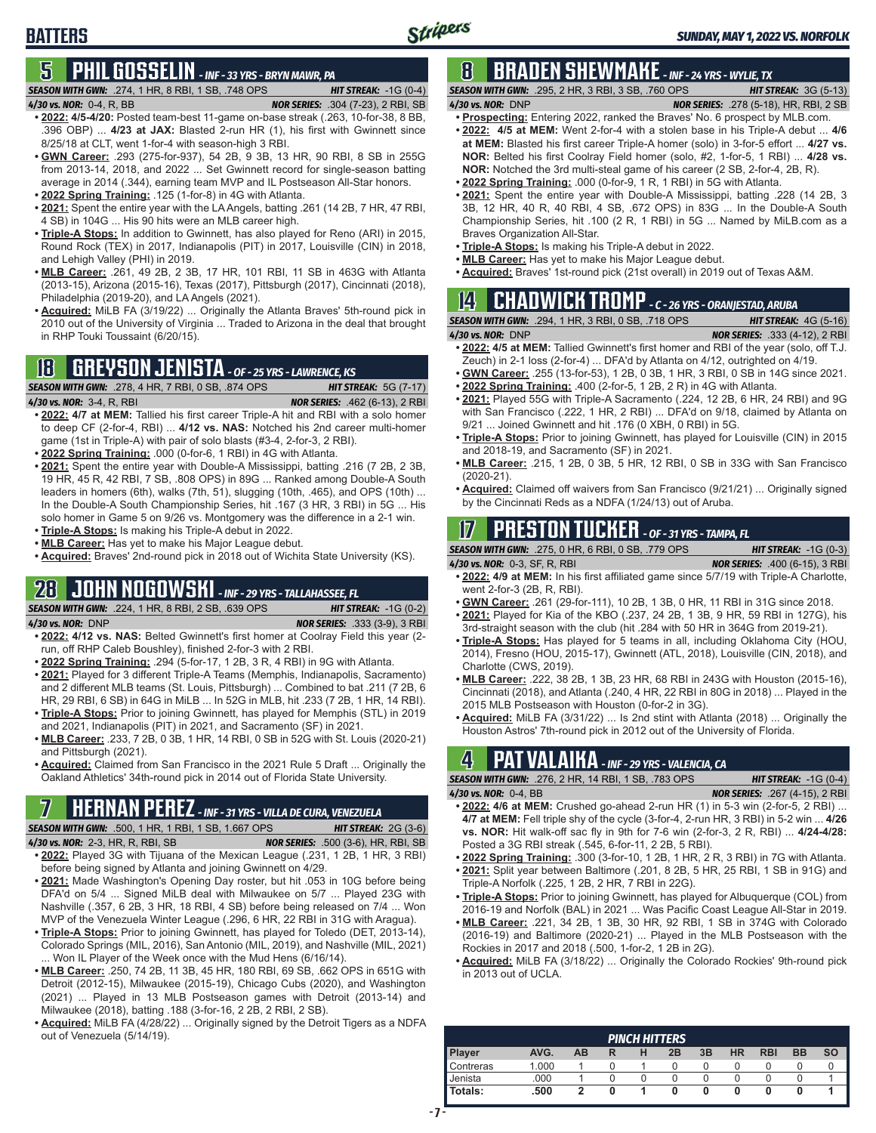# **5 PHIL GOSSELIN** *- INF - 33 YRS - BRYN MAWR, PA*

## *SEASON WITH GWN:*.274, 1 HR, 8 RBI, 1 SB, .748 OPS *HIT STREAK:* -1G (0-4)

**BATTERS**

- *4/30 vs. NOR:*0-4, R, BB *NOR SERIES:* .304 (7-23), 2 RBI, SB **• 2022: 4/5-4/20:** Posted team-best 11-game on-base streak (.263, 10-for-38, 8 BB, .396 OBP) ... **4/23 at JAX:** Blasted 2-run HR (1), his first with Gwinnett since 8/25/18 at CLT, went 1-for-4 with season-high 3 RBI.
- **• GWN Career:** .293 (275-for-937), 54 2B, 9 3B, 13 HR, 90 RBI, 8 SB in 255G from 2013-14, 2018, and 2022 ... Set Gwinnett record for single-season batting average in 2014 (.344), earning team MVP and IL Postseason All-Star honors.
- **• 2022 Spring Training:** .125 (1-for-8) in 4G with Atlanta. **• 2021:** Spent the entire year with the LA Angels, batting .261 (14 2B, 7 HR, 47 RBI, 4 SB) in 104G ... His 90 hits were an MLB career high.
- **• Triple-A Stops:** In addition to Gwinnett, has also played for Reno (ARI) in 2015, Round Rock (TEX) in 2017, Indianapolis (PIT) in 2017, Louisville (CIN) in 2018, and Lehigh Valley (PHI) in 2019.
- **• MLB Career:** .261, 49 2B, 2 3B, 17 HR, 101 RBI, 11 SB in 463G with Atlanta (2013-15), Arizona (2015-16), Texas (2017), Pittsburgh (2017), Cincinnati (2018), Philadelphia (2019-20), and LA Angels (2021).
- **• Acquired:** MiLB FA (3/19/22) ... Originally the Atlanta Braves' 5th-round pick in 2010 out of the University of Virginia ... Traded to Arizona in the deal that brought in RHP Touki Toussaint (6/20/15).

# **18 GREYSON JENISTA** *- OF - 25 YRS - LAWRENCE, KS*

*SEASON WITH GWN:*.278, 4 HR, 7 RBI, 0 SB, .874 OPS *HIT STREAK:* 5G (7-17) *4/30 vs. NOR:*3-4, R, RBI *NOR SERIES:* .462 (6-13), 2 RBI

- **• 2022: 4/7 at MEM:** Tallied his first career Triple-A hit and RBI with a solo homer to deep CF (2-for-4, RBI) ... **4/12 vs. NAS:** Notched his 2nd career multi-homer game (1st in Triple-A) with pair of solo blasts (#3-4, 2-for-3, 2 RBI).
- **• 2022 Spring Training:** .000 (0-for-6, 1 RBI) in 4G with Atlanta.
- **• 2021:** Spent the entire year with Double-A Mississippi, batting .216 (7 2B, 2 3B, 19 HR, 45 R, 42 RBI, 7 SB, .808 OPS) in 89G ... Ranked among Double-A South leaders in homers (6th), walks (7th, 51), slugging (10th, .465), and OPS (10th) ... In the Double-A South Championship Series, hit .167 (3 HR, 3 RBI) in 5G ... His solo homer in Game 5 on 9/26 vs. Montgomery was the difference in a 2-1 win.
- **• Triple-A Stops:** Is making his Triple-A debut in 2022.
- **• MLB Career:** Has yet to make his Major League debut.
- **• Acquired:** Braves' 2nd-round pick in 2018 out of Wichita State University (KS).

# **28 JOHN NOGOWSKI** *- INF - 29 YRS - TALLAHASSEE, FL*

*SEASON WITH GWN:*.224, 1 HR, 8 RBI, 2 SB, .639 OPS *HIT STREAK:* -1G (0-2) *4/30 vs. NOR:*DNP *NOR SERIES:* .333 (3-9), 3 RBI **• 2022: 4/12 vs. NAS:** Belted Gwinnett's first homer at Coolray Field this year (2-

- run, off RHP Caleb Boushley), finished 2-for-3 with 2 RBI. **• 2022 Spring Training:** .294 (5-for-17, 1 2B, 3 R, 4 RBI) in 9G with Atlanta.
- **• 2021:** Played for 3 different Triple-A Teams (Memphis, Indianapolis, Sacramento) and 2 different MLB teams (St. Louis, Pittsburgh) ... Combined to bat .211 (7 2B, 6 HR, 29 RBI, 6 SB) in 64G in MiLB ... In 52G in MLB, hit .233 (7 2B, 1 HR, 14 RBI). **• Triple-A Stops:** Prior to joining Gwinnett, has played for Memphis (STL) in 2019
- and 2021, Indianapolis (PIT) in 2021, and Sacramento (SF) in 2021.
- **• MLB Career:** .233, 7 2B, 0 3B, 1 HR, 14 RBI, 0 SB in 52G with St. Louis (2020-21) and Pittsburgh (2021).
- **• Acquired:** Claimed from San Francisco in the 2021 Rule 5 Draft ... Originally the Oakland Athletics' 34th-round pick in 2014 out of Florida State University.

## **7 HERNAN PEREZ** *- INF - 31 YRS - VILLA DE CURA, VENEZUELA SEASON WITH GWN:*.500, 1 HR, 1 RBI, 1 SB, 1.667 OPS *HIT STREAK:* 2G (3-6)

- *4/30 vs. NOR:*2-3, HR, R, RBI, SB *NOR SERIES:* .500 (3-6), HR, RBI, SB **• 2022:** Played 3G with Tijuana of the Mexican League (.231, 1 2B, 1 HR, 3 RBI) before being signed by Atlanta and joining Gwinnett on 4/29.
- **• 2021:** Made Washington's Opening Day roster, but hit .053 in 10G before being DFA'd on 5/4 ... Signed MiLB deal with Milwaukee on 5/7 ... Played 23G with Nashville (.357, 6 2B, 3 HR, 18 RBI, 4 SB) before being released on 7/4 ... Won MVP of the Venezuela Winter League (.296, 6 HR, 22 RBI in 31G with Aragua).
- **• Triple-A Stops:** Prior to joining Gwinnett, has played for Toledo (DET, 2013-14), Colorado Springs (MIL, 2016), San Antonio (MIL, 2019), and Nashville (MIL, 2021) Won IL Player of the Week once with the Mud Hens (6/16/14).
- **• MLB Career:** .250, 74 2B, 11 3B, 45 HR, 180 RBI, 69 SB, .662 OPS in 651G with Detroit (2012-15), Milwaukee (2015-19), Chicago Cubs (2020), and Washington (2021) ... Played in 13 MLB Postseason games with Detroit (2013-14) and Milwaukee (2018), batting .188 (3-for-16, 2 2B, 2 RBI, 2 SB).
- **• Acquired:** MiLB FA (4/28/22) ... Originally signed by the Detroit Tigers as a NDFA out of Venezuela (5/14/19).

# **8 BRADEN SHEWMAKE** *- INF - 24 YRS - WYLIE, TX*

*SEASON WITH GWN:*.295, 2 HR, 3 RBI, 3 SB, .760 OPS *HIT STREAK:* 3G (5-13)

- *4/30 vs. NOR:*DNP *NOR SERIES:* .278 (5-18), HR, RBI, 2 SB
- **• Prospecting:** Entering 2022, ranked the Braves' No. 6 prospect by MLB.com. **• 2022: 4/5 at MEM:** Went 2-for-4 with a stolen base in his Triple-A debut ... **4/6 at MEM:** Blasted his first career Triple-A homer (solo) in 3-for-5 effort ... **4/27 vs. NOR:** Belted his first Coolray Field homer (solo, #2, 1-for-5, 1 RBI) ... **4/28 vs. NOR:** Notched the 3rd multi-steal game of his career (2 SB, 2-for-4, 2B, R).
- **• 2022 Spring Training:** .000 (0-for-9, 1 R, 1 RBI) in 5G with Atlanta.
- **• 2021:** Spent the entire year with Double-A Mississippi, batting .228 (14 2B, 3 3B, 12 HR, 40 R, 40 RBI, 4 SB, .672 OPS) in 83G ... In the Double-A South Championship Series, hit .100 (2 R, 1 RBI) in 5G ... Named by MiLB.com as a Braves Organization All-Star.
- **• Triple-A Stops:** Is making his Triple-A debut in 2022.
- **• MLB Career:** Has yet to make his Major League debut.
- **• Acquired:** Braves' 1st-round pick (21st overall) in 2019 out of Texas A&M.

# **14 CHADWICK TROMP** *- C - 26 YRS - ORANJESTAD, ARUBA*

*SEASON WITH GWN:*.294, 1 HR, 3 RBI, 0 SB, .718 OPS *HIT STREAK:* 4G (5-16)

- *4/30 vs. NOR:*DNP *NOR SERIES:* .333 (4-12), 2 RBI
- **• 2022: 4/5 at MEM:** Tallied Gwinnett's first homer and RBI of the year (solo, off T.J. Zeuch) in 2-1 loss (2-for-4) ... DFA'd by Atlanta on 4/12, outrighted on 4/19.
- **• GWN Career:** .255 (13-for-53), 1 2B, 0 3B, 1 HR, 3 RBI, 0 SB in 14G since 2021. **• 2022 Spring Training:** .400 (2-for-5, 1 2B, 2 R) in 4G with Atlanta.
- **• 2021:** Played 55G with Triple-A Sacramento (.224, 12 2B, 6 HR, 24 RBI) and 9G with San Francisco (.222, 1 HR, 2 RBI) ... DFA'd on 9/18, claimed by Atlanta on 9/21 ... Joined Gwinnett and hit .176 (0 XBH, 0 RBI) in 5G.
- **• Triple-A Stops:** Prior to joining Gwinnett, has played for Louisville (CIN) in 2015 and 2018-19, and Sacramento (SF) in 2021.
- **• MLB Career:** .215, 1 2B, 0 3B, 5 HR, 12 RBI, 0 SB in 33G with San Francisco (2020-21).
- **• Acquired:** Claimed off waivers from San Francisco (9/21/21) ... Originally signed by the Cincinnati Reds as a NDFA (1/24/13) out of Aruba.

# **17 PRESTON TUCKER** *- OF - 31 YRS - TAMPA, FL*

| <b>SEASON WITH GWN:</b> .275, 0 HR, 6 RBI, 0 SB, .779 OPS | <b>HIT STREAK:</b> $-1G(0-3)$         |
|-----------------------------------------------------------|---------------------------------------|
| 4/30 vs. NOR: 0-3, SF, R, RBI                             | <b>NOR SERIES:</b> .400 (6-15), 3 RBI |

- **• 2022: 4/9 at MEM:** In his first affiliated game since 5/7/19 with Triple-A Charlotte, went 2-for-3 (2B, R, RBI).
- **• GWN Career:** .261 (29-for-111), 10 2B, 1 3B, 0 HR, 11 RBI in 31G since 2018.
- **• 2021:** Played for Kia of the KBO (.237, 24 2B, 1 3B, 9 HR, 59 RBI in 127G), his 3rd-straight season with the club (hit .284 with 50 HR in 364G from 2019-21).
- **• Triple-A Stops:** Has played for 5 teams in all, including Oklahoma City (HOU, 2014), Fresno (HOU, 2015-17), Gwinnett (ATL, 2018), Louisville (CIN, 2018), and Charlotte (CWS, 2019).
- **• MLB Career:** .222, 38 2B, 1 3B, 23 HR, 68 RBI in 243G with Houston (2015-16), Cincinnati (2018), and Atlanta (.240, 4 HR, 22 RBI in 80G in 2018) ... Played in the 2015 MLB Postseason with Houston (0-for-2 in 3G).
- **• Acquired:** MiLB FA (3/31/22) ... Is 2nd stint with Atlanta (2018) ... Originally the Houston Astros' 7th-round pick in 2012 out of the University of Florida.

# **4 PAT VALAIKA** *- INF - 29 YRS - VALENCIA, CA*

*SEASON WITH GWN:*.276, 2 HR, 14 RBI, 1 SB, .783 OPS *HIT STREAK:* -1G (0-4) *4/30 vs. NOR:*0-4, BB *NOR SERIES:* .267 (4-15), 2 RBI

- **• 2022: 4/6 at MEM:** Crushed go-ahead 2-run HR (1) in 5-3 win (2-for-5, 2 RBI) ... **4/7 at MEM:** Fell triple shy of the cycle (3-for-4, 2-run HR, 3 RBI) in 5-2 win ... **4/26 vs. NOR:** Hit walk-off sac fly in 9th for 7-6 win (2-for-3, 2 R, RBI) ... **4/24-4/28:** Posted a 3G RBI streak (.545, 6-for-11, 2 2B, 5 RBI).
- **• 2022 Spring Training:** .300 (3-for-10, 1 2B, 1 HR, 2 R, 3 RBI) in 7G with Atlanta. **• 2021:** Split year between Baltimore (.201, 8 2B, 5 HR, 25 RBI, 1 SB in 91G) and Triple-A Norfolk (.225, 1 2B, 2 HR, 7 RBI in 22G).
- **• Triple-A Stops:** Prior to joining Gwinnett, has played for Albuquerque (COL) from 2016-19 and Norfolk (BAL) in 2021 ... Was Pacific Coast League All-Star in 2019.
- **• MLB Career:** .221, 34 2B, 1 3B, 30 HR, 92 RBI, 1 SB in 374G with Colorado (2016-19) and Baltimore (2020-21) ... Played in the MLB Postseason with the Rockies in 2017 and 2018 (.500, 1-for-2, 1 2B in 2G).
- **• Acquired:** MiLB FA (3/18/22) ... Originally the Colorado Rockies' 9th-round pick in 2013 out of UCLA.

|                  |       |    |   | <b>PINCH HITTERS</b> |    |           |            |    |    |
|------------------|-------|----|---|----------------------|----|-----------|------------|----|----|
| Player           | AVG.  | AВ | R | 2B                   | 3B | <b>HR</b> | <b>RBI</b> | BB | sc |
| <b>Contreras</b> | 1.000 |    |   |                      | O  |           |            |    |    |
| <b>J</b> enista  | .000  |    |   |                      |    |           |            |    |    |
| l Totals:        | .500  |    |   |                      | 0  | 0         |            |    |    |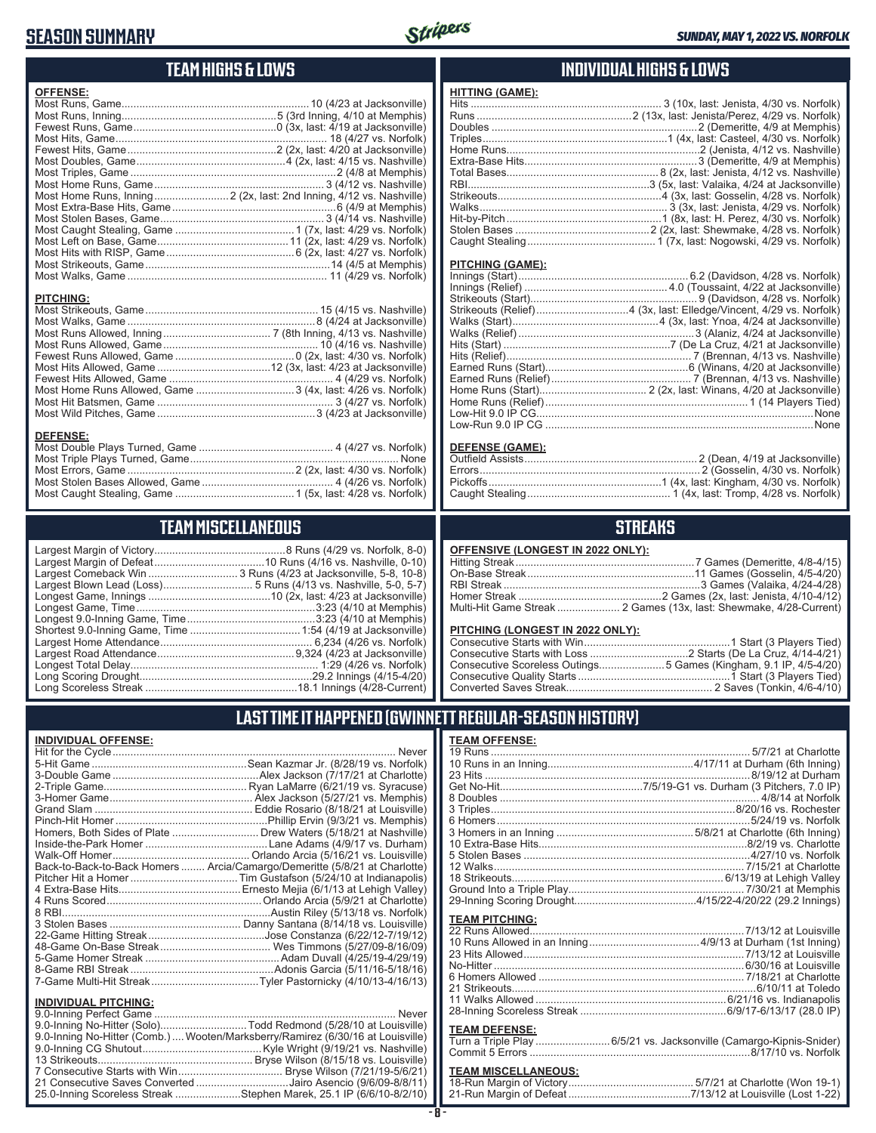# **SEASON SUMMARY**



## **TEAM HIGHS & LOWS**

| <b>OFFENSE:</b> |                                                                     |
|-----------------|---------------------------------------------------------------------|
|                 |                                                                     |
|                 |                                                                     |
|                 |                                                                     |
|                 |                                                                     |
|                 |                                                                     |
|                 |                                                                     |
|                 |                                                                     |
|                 |                                                                     |
|                 |                                                                     |
|                 |                                                                     |
|                 | Most Home Runs, Inning 2 (2x, last: 2nd Inning, 4/12 vs. Nashville) |
|                 |                                                                     |
|                 |                                                                     |
|                 |                                                                     |
|                 |                                                                     |
|                 |                                                                     |
|                 |                                                                     |

#### **PITCHING:**

#### **DEFENSE:**

**INDIVIDUAL OFFENSE:**

**INDIVIDUAL PITCHING:**

# **TEAM MISCELLANEOUS**

| Long Scoreless Streak | 18.1 Innings $(A/28-C)$ |
|-----------------------|-------------------------|

Hit for the Cycle ............................................................................................... Never 5-Hit Game ....................................................Sean Kazmar Jr. (8/28/19 vs. Norfolk) 3-Double Game .................................................Alex Jackson (7/17/21 at Charlotte) 2-Triple Game................................................ Ryan LaMarre (6/21/19 vs. Syracuse) 3-Homer Game................................................ Alex Jackson (5/27/21 vs. Memphis) Grand Slam ..................................................... Eddie Rosario (8/18/21 at Louisville) Pinch-Hit Homer ...................................................Phillip Ervin (9/3/21 vs. Memphis) Homers, Both Sides of Plate ............................. Drew Waters (5/18/21 at Nashville) Inside-the-Park Homer .........................................Lane Adams (4/9/17 vs. Durham) Walk-Off Homer.............................................. Orlando Arcia (5/16/21 vs. Louisville) Back-to-Back-to-Back Homers ........ Arcia/Camargo/Demeritte (5/8/21 at Charlotte) Pitcher Hit a Homer ....................................Tim Gustafson (5/24/10 at Indianapolis) 4 Extra-Base Hits.........................................Ernesto Mejia (6/1/13 at Lehigh Valley) 4 Runs Scored....................................................Orlando Arcia (5/9/21 at Charlotte) 8 RBI......................................................................Austin Riley (5/13/18 vs. Norfolk) 3 Stolen Bases ............................................ Danny Santana (8/14/18 vs. Louisville) 22-Game Hitting Streak.......................................Jose Constanza (6/22/12-7/19/12) 48-Game On-Base Streak ..................................... Wes Timmons (5/27/09-8/16/09) 5-Game Homer Streak .............................................Adam Duvall (4/25/19-4/29/19) 8-Game RBI Streak ................................................Adonis Garcia (5/11/16-5/18/16) 7-Game Multi-Hit Streak....................................Tyler Pastornicky (4/10/13-4/16/13)

9.0-Inning Perfect Game ................................................................................. Never 9.0-Inning No-Hitter (Solo).............................Todd Redmond (5/28/10 at Louisville) 9.0-Inning No-Hitter (Comb.)....Wooten/Marksberry/Ramirez (6/30/16 at Louisville) 9.0-Inning CG Shutout........................................Kyle Wright (9/19/21 vs. Nashville) 13 Strikeouts.................................................... Bryse Wilson (8/15/18 vs. Louisville) 7 Consecutive Starts with Win ................................... Bryse Wilson (7/21/19-5/6/21) 21 Consecutive Saves Converted ...............................Jairo Asencio (9/6/09-8/8/11) 25.0-Inning Scoreless Streak ......................Stephen Marek, 25.1 IP (6/6/10-8/2/10)

# ........18.1 Innings (4/28-Current)

## **INDIVIDUAL HIGHS & LOWS**

| <b>HITTING (GAME):</b> |  |
|------------------------|--|
|                        |  |
|                        |  |
|                        |  |
|                        |  |
|                        |  |
|                        |  |
|                        |  |
|                        |  |
|                        |  |
|                        |  |
|                        |  |
|                        |  |
|                        |  |
|                        |  |

#### **PITCHING (GAME):**

| None |
|------|
|      |
|      |

#### **DEFENSE (GAME):**

## **STREAKS**

| OFFENSIVE (LONGEST IN 2022 ONLY): |  |  |
|-----------------------------------|--|--|
|-----------------------------------|--|--|

#### **PITCHING (LONGEST IN 2022 ONLY):**

| Consecutive Scoreless Outings5 Games (Kingham, 9.1 IP, 4/5-4/20) |
|------------------------------------------------------------------|
|                                                                  |
|                                                                  |

# **LAST TIME IT HAPPENED (GWINNETT REGULAR-SEASON HISTORY)**

## **TEAM OFFENSE:**

| <b>TEAM PITCHING:</b>      |                                                                    |
|----------------------------|--------------------------------------------------------------------|
|                            |                                                                    |
|                            |                                                                    |
|                            |                                                                    |
|                            |                                                                    |
|                            |                                                                    |
|                            |                                                                    |
|                            |                                                                    |
|                            |                                                                    |
|                            |                                                                    |
|                            |                                                                    |
| <b>TEAM DEFENSE:</b>       |                                                                    |
|                            |                                                                    |
|                            | Turn a Triple Play 6/5/21 vs. Jacksonville (Camargo-Kipnis-Snider) |
| <b>TEAM MICCELLANEOUS.</b> |                                                                    |

#### **TEAM MISCELLANEOUS:**